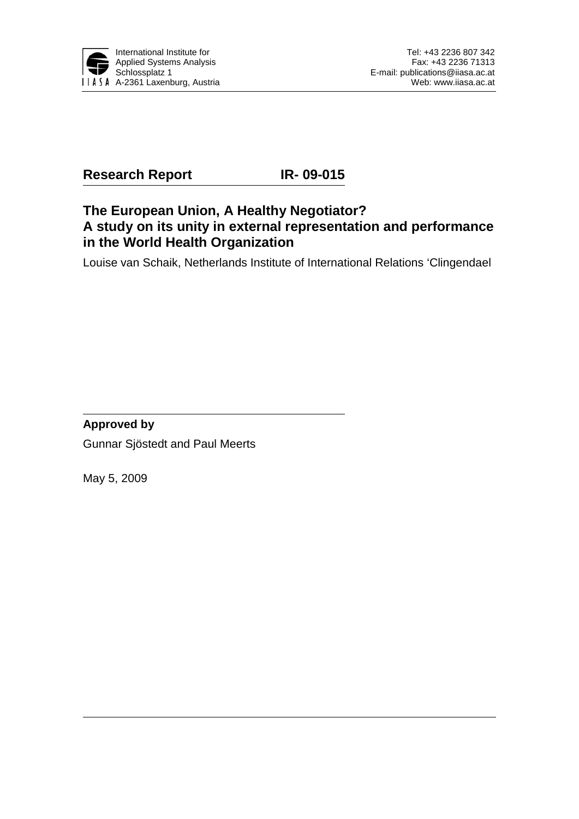

## **Research Report IR- 09-015**

## **The European Union, A Healthy Negotiator? A study on its unity in external representation and performance in the World Health Organization**

Louise van Schaik, Netherlands Institute of International Relations 'Clingendael

### **Approved by**

Gunnar Sjöstedt and Paul Meerts

May 5, 2009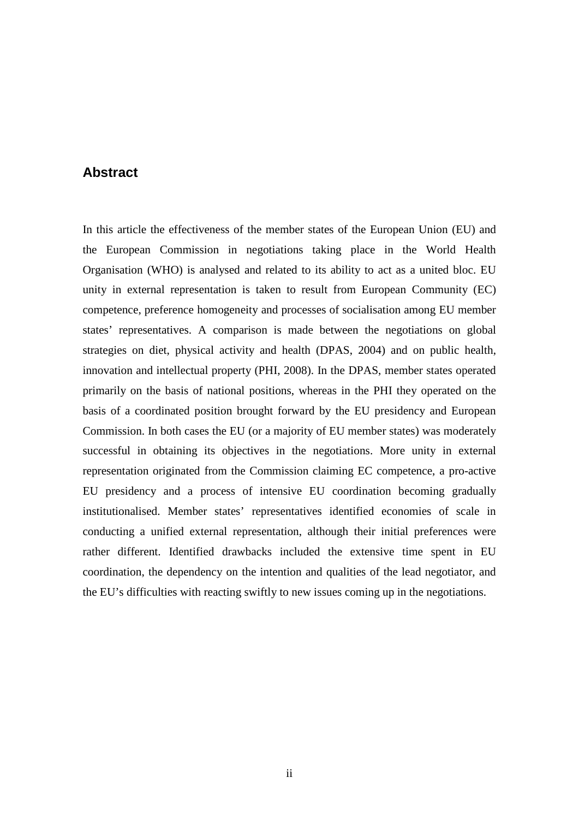### **Abstract**

In this article the effectiveness of the member states of the European Union (EU) and the European Commission in negotiations taking place in the World Health Organisation (WHO) is analysed and related to its ability to act as a united bloc. EU unity in external representation is taken to result from European Community (EC) competence, preference homogeneity and processes of socialisation among EU member states' representatives. A comparison is made between the negotiations on global strategies on diet, physical activity and health (DPAS, 2004) and on public health, innovation and intellectual property (PHI, 2008). In the DPAS, member states operated primarily on the basis of national positions, whereas in the PHI they operated on the basis of a coordinated position brought forward by the EU presidency and European Commission. In both cases the EU (or a majority of EU member states) was moderately successful in obtaining its objectives in the negotiations. More unity in external representation originated from the Commission claiming EC competence, a pro-active EU presidency and a process of intensive EU coordination becoming gradually institutionalised. Member states' representatives identified economies of scale in conducting a unified external representation, although their initial preferences were rather different. Identified drawbacks included the extensive time spent in EU coordination, the dependency on the intention and qualities of the lead negotiator, and the EU's difficulties with reacting swiftly to new issues coming up in the negotiations.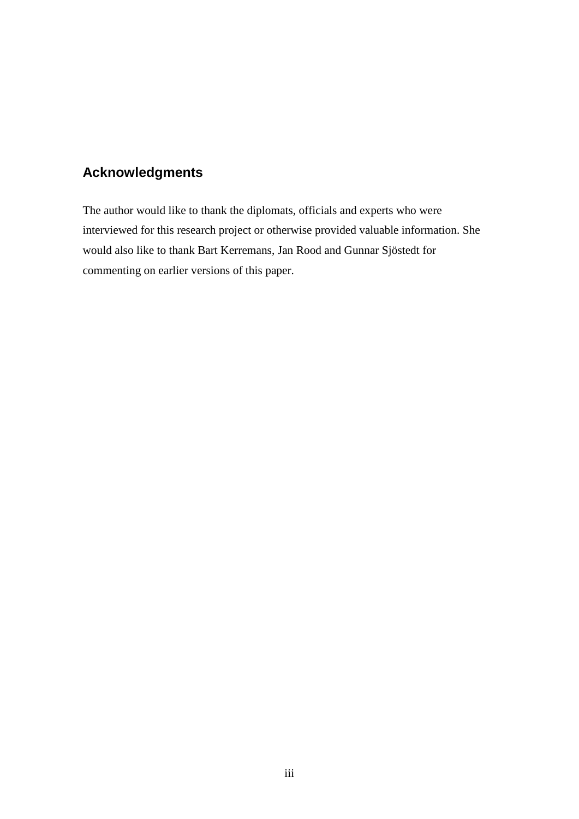## **Acknowledgments**

The author would like to thank the diplomats, officials and experts who were interviewed for this research project or otherwise provided valuable information. She would also like to thank Bart Kerremans, Jan Rood and Gunnar Sjöstedt for commenting on earlier versions of this paper.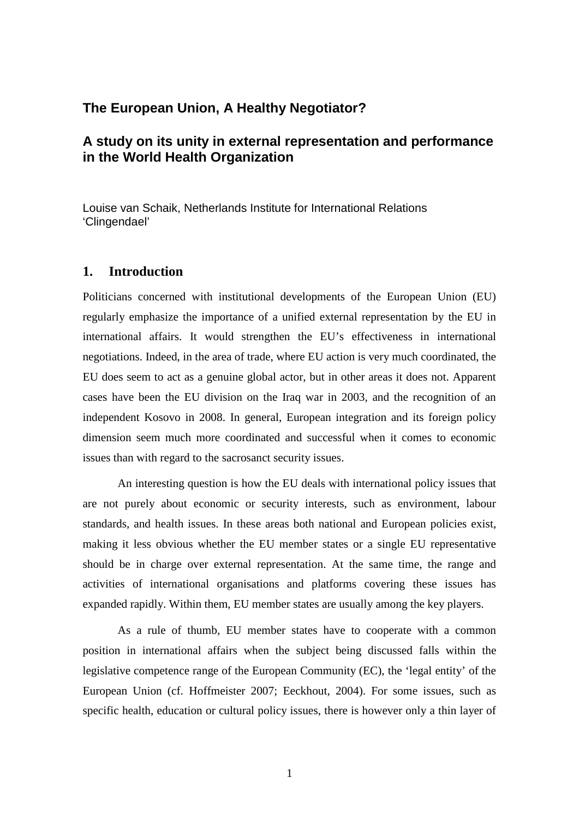### **The European Union, A Healthy Negotiator?**

### **A study on its unity in external representation and performance in the World Health Organization**

Louise van Schaik, Netherlands Institute for International Relations 'Clingendael'

### **1. Introduction**

Politicians concerned with institutional developments of the European Union (EU) regularly emphasize the importance of a unified external representation by the EU in international affairs. It would strengthen the EU's effectiveness in international negotiations. Indeed, in the area of trade, where EU action is very much coordinated, the EU does seem to act as a genuine global actor, but in other areas it does not. Apparent cases have been the EU division on the Iraq war in 2003, and the recognition of an independent Kosovo in 2008. In general, European integration and its foreign policy dimension seem much more coordinated and successful when it comes to economic issues than with regard to the sacrosanct security issues.

An interesting question is how the EU deals with international policy issues that are not purely about economic or security interests, such as environment, labour standards, and health issues. In these areas both national and European policies exist, making it less obvious whether the EU member states or a single EU representative should be in charge over external representation. At the same time, the range and activities of international organisations and platforms covering these issues has expanded rapidly. Within them, EU member states are usually among the key players.

As a rule of thumb, EU member states have to cooperate with a common position in international affairs when the subject being discussed falls within the legislative competence range of the European Community (EC), the 'legal entity' of the European Union (cf. Hoffmeister 2007; Eeckhout, 2004). For some issues, such as specific health, education or cultural policy issues, there is however only a thin layer of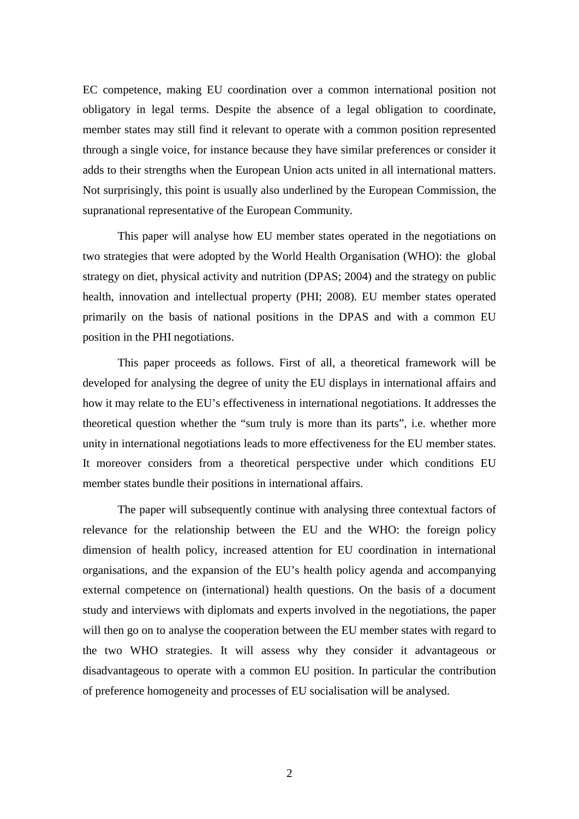EC competence, making EU coordination over a common international position not obligatory in legal terms. Despite the absence of a legal obligation to coordinate, member states may still find it relevant to operate with a common position represented through a single voice, for instance because they have similar preferences or consider it adds to their strengths when the European Union acts united in all international matters. Not surprisingly, this point is usually also underlined by the European Commission, the supranational representative of the European Community.

This paper will analyse how EU member states operated in the negotiations on two strategies that were adopted by the World Health Organisation (WHO): the global strategy on diet, physical activity and nutrition (DPAS; 2004) and the strategy on public health, innovation and intellectual property (PHI; 2008). EU member states operated primarily on the basis of national positions in the DPAS and with a common EU position in the PHI negotiations.

This paper proceeds as follows. First of all, a theoretical framework will be developed for analysing the degree of unity the EU displays in international affairs and how it may relate to the EU's effectiveness in international negotiations. It addresses the theoretical question whether the "sum truly is more than its parts", i.e. whether more unity in international negotiations leads to more effectiveness for the EU member states. It moreover considers from a theoretical perspective under which conditions EU member states bundle their positions in international affairs.

The paper will subsequently continue with analysing three contextual factors of relevance for the relationship between the EU and the WHO: the foreign policy dimension of health policy, increased attention for EU coordination in international organisations, and the expansion of the EU's health policy agenda and accompanying external competence on (international) health questions. On the basis of a document study and interviews with diplomats and experts involved in the negotiations, the paper will then go on to analyse the cooperation between the EU member states with regard to the two WHO strategies. It will assess why they consider it advantageous or disadvantageous to operate with a common EU position. In particular the contribution of preference homogeneity and processes of EU socialisation will be analysed.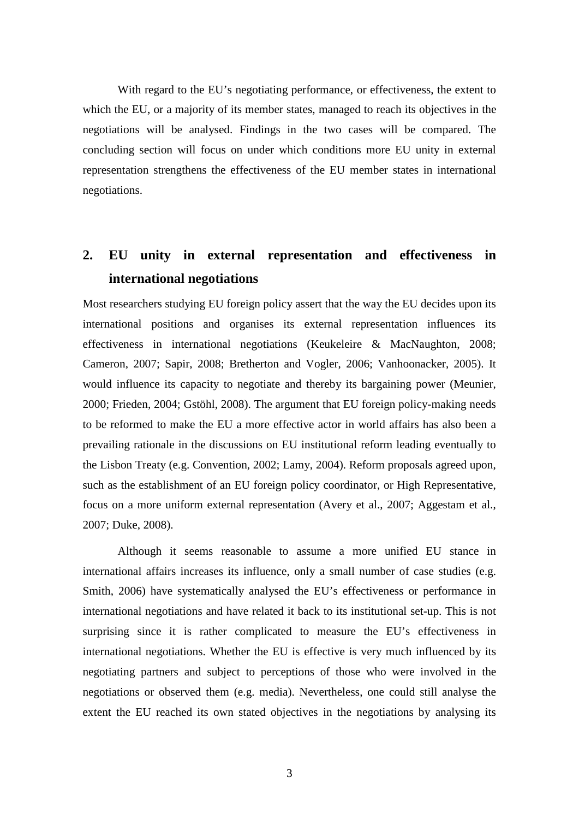With regard to the EU's negotiating performance, or effectiveness, the extent to which the EU, or a majority of its member states, managed to reach its objectives in the negotiations will be analysed. Findings in the two cases will be compared. The concluding section will focus on under which conditions more EU unity in external representation strengthens the effectiveness of the EU member states in international negotiations.

# **2. EU unity in external representation and effectiveness in international negotiations**

Most researchers studying EU foreign policy assert that the way the EU decides upon its international positions and organises its external representation influences its effectiveness in international negotiations (Keukeleire & MacNaughton, 2008; Cameron, 2007; Sapir, 2008; Bretherton and Vogler, 2006; Vanhoonacker, 2005). It would influence its capacity to negotiate and thereby its bargaining power (Meunier, 2000; Frieden, 2004; Gstöhl, 2008). The argument that EU foreign policy-making needs to be reformed to make the EU a more effective actor in world affairs has also been a prevailing rationale in the discussions on EU institutional reform leading eventually to the Lisbon Treaty (e.g. Convention, 2002; Lamy, 2004). Reform proposals agreed upon, such as the establishment of an EU foreign policy coordinator, or High Representative, focus on a more uniform external representation (Avery et al., 2007; Aggestam et al., 2007; Duke, 2008).

Although it seems reasonable to assume a more unified EU stance in international affairs increases its influence, only a small number of case studies (e.g. Smith, 2006) have systematically analysed the EU's effectiveness or performance in international negotiations and have related it back to its institutional set-up. This is not surprising since it is rather complicated to measure the EU's effectiveness in international negotiations. Whether the EU is effective is very much influenced by its negotiating partners and subject to perceptions of those who were involved in the negotiations or observed them (e.g. media). Nevertheless, one could still analyse the extent the EU reached its own stated objectives in the negotiations by analysing its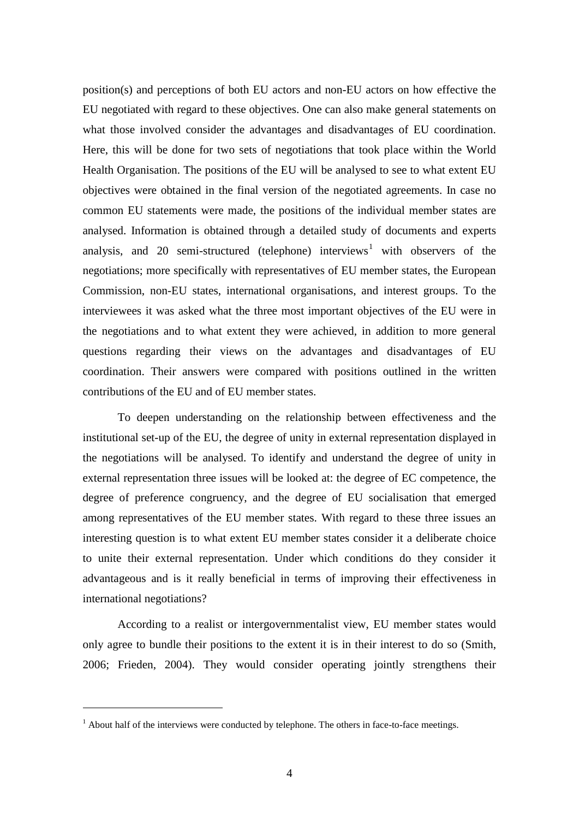position(s) and perceptions of both EU actors and non-EU actors on how effective the EU negotiated with regard to these objectives. One can also make general statements on what those involved consider the advantages and disadvantages of EU coordination. Here, this will be done for two sets of negotiations that took place within the World Health Organisation. The positions of the EU will be analysed to see to what extent EU objectives were obtained in the final version of the negotiated agreements. In case no common EU statements were made, the positions of the individual member states are analysed. Information is obtained through a detailed study of documents and experts analysis, and 20 semi-structured (telephone) interviews<sup>[1](#page-6-0)</sup> with observers of the negotiations; more specifically with representatives of EU member states, the European Commission, non-EU states, international organisations, and interest groups. To the interviewees it was asked what the three most important objectives of the EU were in the negotiations and to what extent they were achieved, in addition to more general questions regarding their views on the advantages and disadvantages of EU coordination. Their answers were compared with positions outlined in the written contributions of the EU and of EU member states.

To deepen understanding on the relationship between effectiveness and the institutional set-up of the EU, the degree of unity in external representation displayed in the negotiations will be analysed. To identify and understand the degree of unity in external representation three issues will be looked at: the degree of EC competence, the degree of preference congruency, and the degree of EU socialisation that emerged among representatives of the EU member states. With regard to these three issues an interesting question is to what extent EU member states consider it a deliberate choice to unite their external representation. Under which conditions do they consider it advantageous and is it really beneficial in terms of improving their effectiveness in international negotiations?

According to a realist or intergovernmentalist view, EU member states would only agree to bundle their positions to the extent it is in their interest to do so (Smith, 2006; Frieden, 2004). They would consider operating jointly strengthens their

<span id="page-6-0"></span><sup>&</sup>lt;sup>1</sup> About half of the interviews were conducted by telephone. The others in face-to-face meetings.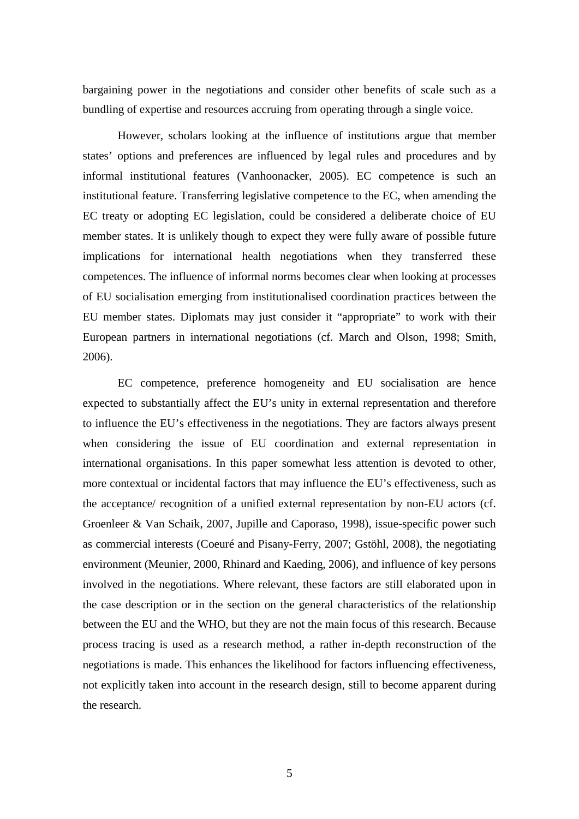bargaining power in the negotiations and consider other benefits of scale such as a bundling of expertise and resources accruing from operating through a single voice.

However, scholars looking at the influence of institutions argue that member states' options and preferences are influenced by legal rules and procedures and by informal institutional features (Vanhoonacker, 2005). EC competence is such an institutional feature. Transferring legislative competence to the EC, when amending the EC treaty or adopting EC legislation, could be considered a deliberate choice of EU member states. It is unlikely though to expect they were fully aware of possible future implications for international health negotiations when they transferred these competences. The influence of informal norms becomes clear when looking at processes of EU socialisation emerging from institutionalised coordination practices between the EU member states. Diplomats may just consider it "appropriate" to work with their European partners in international negotiations (cf. March and Olson, 1998; Smith, 2006).

EC competence, preference homogeneity and EU socialisation are hence expected to substantially affect the EU's unity in external representation and therefore to influence the EU's effectiveness in the negotiations. They are factors always present when considering the issue of EU coordination and external representation in international organisations. In this paper somewhat less attention is devoted to other, more contextual or incidental factors that may influence the EU's effectiveness, such as the acceptance/ recognition of a unified external representation by non-EU actors (cf. Groenleer & Van Schaik, 2007, Jupille and Caporaso, 1998), issue-specific power such as commercial interests (Coeuré and Pisany-Ferry, 2007; Gstöhl, 2008), the negotiating environment (Meunier, 2000, Rhinard and Kaeding, 2006), and influence of key persons involved in the negotiations. Where relevant, these factors are still elaborated upon in the case description or in the section on the general characteristics of the relationship between the EU and the WHO, but they are not the main focus of this research. Because process tracing is used as a research method, a rather in-depth reconstruction of the negotiations is made. This enhances the likelihood for factors influencing effectiveness, not explicitly taken into account in the research design, still to become apparent during the research.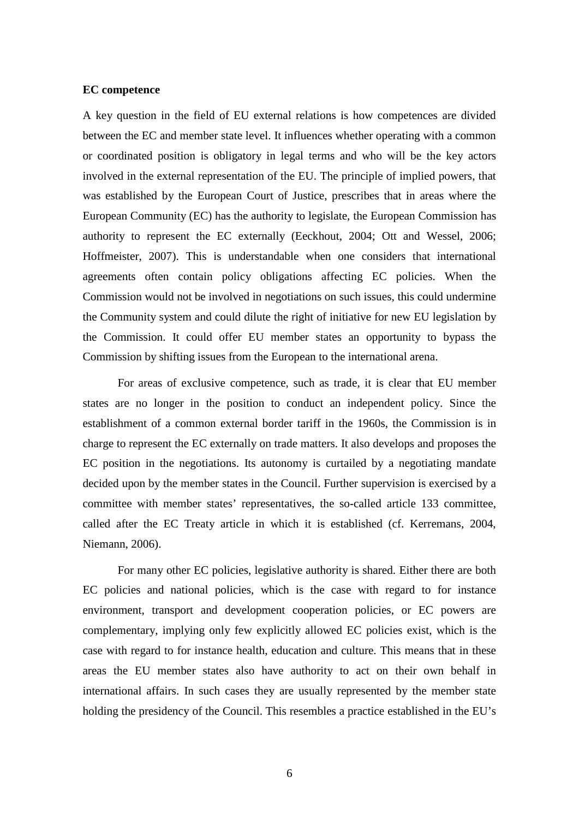#### **EC competence**

A key question in the field of EU external relations is how competences are divided between the EC and member state level. It influences whether operating with a common or coordinated position is obligatory in legal terms and who will be the key actors involved in the external representation of the EU. The principle of implied powers, that was established by the European Court of Justice, prescribes that in areas where the European Community (EC) has the authority to legislate, the European Commission has authority to represent the EC externally (Eeckhout, 2004; Ott and Wessel, 2006; Hoffmeister, 2007). This is understandable when one considers that international agreements often contain policy obligations affecting EC policies. When the Commission would not be involved in negotiations on such issues, this could undermine the Community system and could dilute the right of initiative for new EU legislation by the Commission. It could offer EU member states an opportunity to bypass the Commission by shifting issues from the European to the international arena.

For areas of exclusive competence, such as trade, it is clear that EU member states are no longer in the position to conduct an independent policy. Since the establishment of a common external border tariff in the 1960s, the Commission is in charge to represent the EC externally on trade matters. It also develops and proposes the EC position in the negotiations. Its autonomy is curtailed by a negotiating mandate decided upon by the member states in the Council. Further supervision is exercised by a committee with member states' representatives, the so-called article 133 committee, called after the EC Treaty article in which it is established (cf. Kerremans, 2004, Niemann, 2006).

For many other EC policies, legislative authority is shared. Either there are both EC policies and national policies, which is the case with regard to for instance environment, transport and development cooperation policies, or EC powers are complementary, implying only few explicitly allowed EC policies exist, which is the case with regard to for instance health, education and culture. This means that in these areas the EU member states also have authority to act on their own behalf in international affairs. In such cases they are usually represented by the member state holding the presidency of the Council. This resembles a practice established in the EU's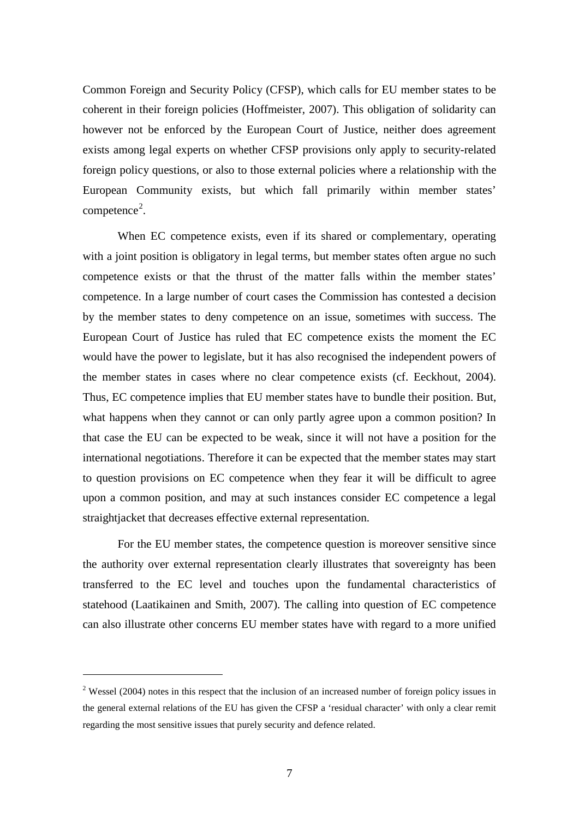Common Foreign and Security Policy (CFSP), which calls for EU member states to be coherent in their foreign policies (Hoffmeister, 2007). This obligation of solidarity can however not be enforced by the European Court of Justice, neither does agreement exists among legal experts on whether CFSP provisions only apply to security-related foreign policy questions, or also to those external policies where a relationship with the European Community exists, but which fall primarily within member states' competence<sup>[2](#page-9-0)</sup>.

When EC competence exists, even if its shared or complementary, operating with a joint position is obligatory in legal terms, but member states often argue no such competence exists or that the thrust of the matter falls within the member states' competence. In a large number of court cases the Commission has contested a decision by the member states to deny competence on an issue, sometimes with success. The European Court of Justice has ruled that EC competence exists the moment the EC would have the power to legislate, but it has also recognised the independent powers of the member states in cases where no clear competence exists (cf. Eeckhout, 2004). Thus, EC competence implies that EU member states have to bundle their position. But, what happens when they cannot or can only partly agree upon a common position? In that case the EU can be expected to be weak, since it will not have a position for the international negotiations. Therefore it can be expected that the member states may start to question provisions on EC competence when they fear it will be difficult to agree upon a common position, and may at such instances consider EC competence a legal straightjacket that decreases effective external representation.

For the EU member states, the competence question is moreover sensitive since the authority over external representation clearly illustrates that sovereignty has been transferred to the EC level and touches upon the fundamental characteristics of statehood (Laatikainen and Smith, 2007). The calling into question of EC competence can also illustrate other concerns EU member states have with regard to a more unified

<span id="page-9-0"></span> $2$  Wessel (2004) notes in this respect that the inclusion of an increased number of foreign policy issues in the general external relations of the EU has given the CFSP a 'residual character' with only a clear remit regarding the most sensitive issues that purely security and defence related.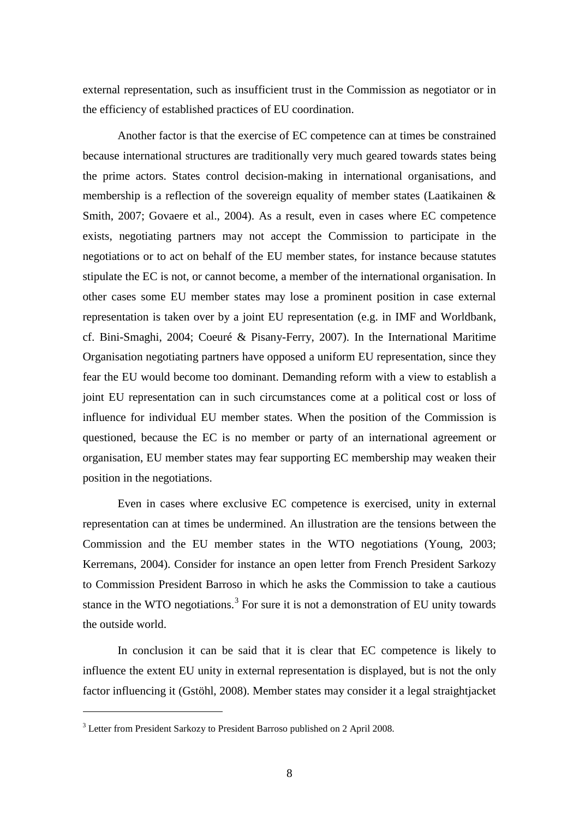external representation, such as insufficient trust in the Commission as negotiator or in the efficiency of established practices of EU coordination.

Another factor is that the exercise of EC competence can at times be constrained because international structures are traditionally very much geared towards states being the prime actors. States control decision-making in international organisations, and membership is a reflection of the sovereign equality of member states (Laatikainen & Smith, 2007; Govaere et al., 2004). As a result, even in cases where EC competence exists, negotiating partners may not accept the Commission to participate in the negotiations or to act on behalf of the EU member states, for instance because statutes stipulate the EC is not, or cannot become, a member of the international organisation. In other cases some EU member states may lose a prominent position in case external representation is taken over by a joint EU representation (e.g. in IMF and Worldbank, cf. Bini-Smaghi, 2004; Coeuré & Pisany-Ferry, 2007). In the International Maritime Organisation negotiating partners have opposed a uniform EU representation, since they fear the EU would become too dominant. Demanding reform with a view to establish a joint EU representation can in such circumstances come at a political cost or loss of influence for individual EU member states. When the position of the Commission is questioned, because the EC is no member or party of an international agreement or organisation, EU member states may fear supporting EC membership may weaken their position in the negotiations.

Even in cases where exclusive EC competence is exercised, unity in external representation can at times be undermined. An illustration are the tensions between the Commission and the EU member states in the WTO negotiations (Young, 2003; Kerremans, 2004). Consider for instance an open letter from French President Sarkozy to Commission President Barroso in which he asks the Commission to take a cautious stance in the WTO negotiations.<sup>[3](#page-10-0)</sup> For sure it is not a demonstration of EU unity towards the outside world.

In conclusion it can be said that it is clear that EC competence is likely to influence the extent EU unity in external representation is displayed, but is not the only factor influencing it (Gstöhl, 2008). Member states may consider it a legal straightjacket

<span id="page-10-0"></span><sup>&</sup>lt;sup>3</sup> Letter from President Sarkozy to President Barroso published on 2 April 2008.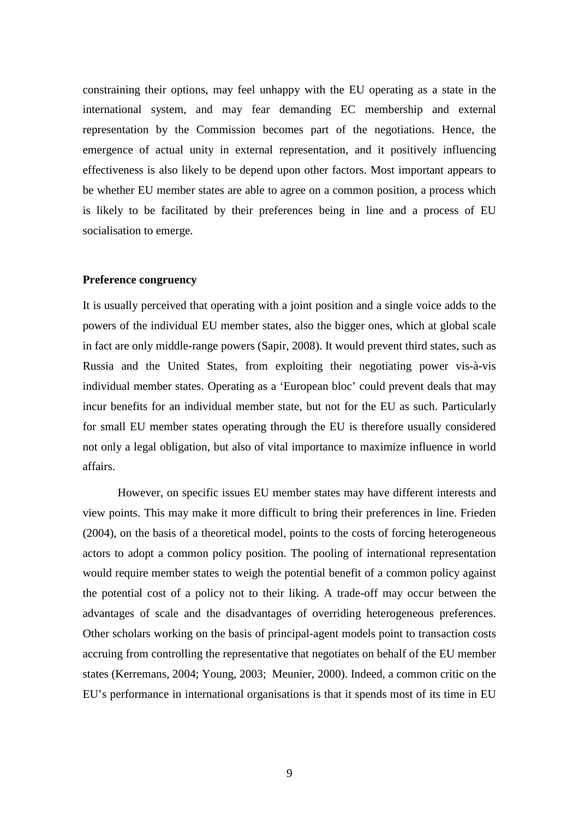constraining their options, may feel unhappy with the EU operating as a state in the international system, and may fear demanding EC membership and external representation by the Commission becomes part of the negotiations. Hence, the emergence of actual unity in external representation, and it positively influencing effectiveness is also likely to be depend upon other factors. Most important appears to be whether EU member states are able to agree on a common position, a process which is likely to be facilitated by their preferences being in line and a process of EU socialisation to emerge.

#### **Preference congruency**

It is usually perceived that operating with a joint position and a single voice adds to the powers of the individual EU member states, also the bigger ones, which at global scale in fact are only middle-range powers (Sapir, 2008). It would prevent third states, such as Russia and the United States, from exploiting their negotiating power vis-à-vis individual member states. Operating as a 'European bloc' could prevent deals that may incur benefits for an individual member state, but not for the EU as such. Particularly for small EU member states operating through the EU is therefore usually considered not only a legal obligation, but also of vital importance to maximize influence in world affairs.

However, on specific issues EU member states may have different interests and view points. This may make it more difficult to bring their preferences in line. Frieden (2004), on the basis of a theoretical model, points to the costs of forcing heterogeneous actors to adopt a common policy position. The pooling of international representation would require member states to weigh the potential benefit of a common policy against the potential cost of a policy not to their liking. A trade-off may occur between the advantages of scale and the disadvantages of overriding heterogeneous preferences. Other scholars working on the basis of principal-agent models point to transaction costs accruing from controlling the representative that negotiates on behalf of the EU member states (Kerremans, 2004; Young, 2003; Meunier, 2000). Indeed, a common critic on the EU's performance in international organisations is that it spends most of its time in EU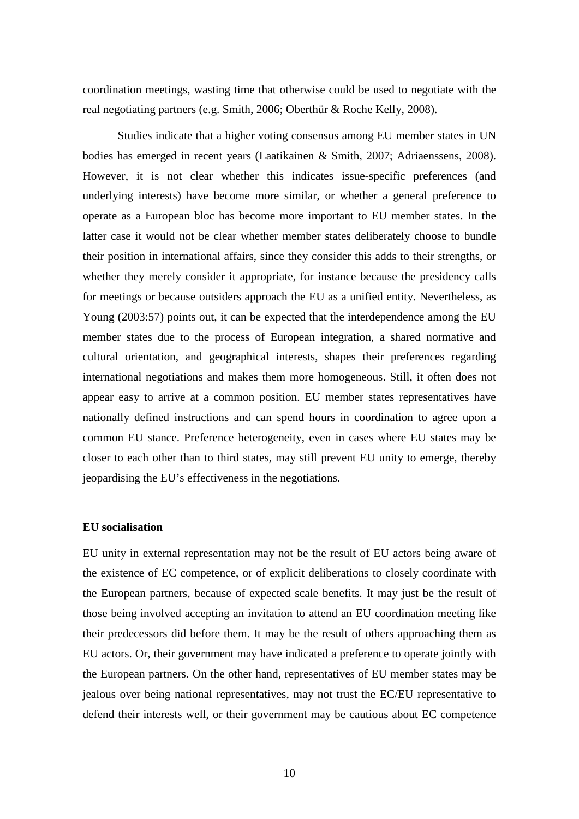coordination meetings, wasting time that otherwise could be used to negotiate with the real negotiating partners (e.g. Smith, 2006; Oberthür & Roche Kelly, 2008).

Studies indicate that a higher voting consensus among EU member states in UN bodies has emerged in recent years (Laatikainen & Smith, 2007; Adriaenssens, 2008). However, it is not clear whether this indicates issue-specific preferences (and underlying interests) have become more similar, or whether a general preference to operate as a European bloc has become more important to EU member states. In the latter case it would not be clear whether member states deliberately choose to bundle their position in international affairs, since they consider this adds to their strengths, or whether they merely consider it appropriate, for instance because the presidency calls for meetings or because outsiders approach the EU as a unified entity. Nevertheless, as Young (2003:57) points out, it can be expected that the interdependence among the EU member states due to the process of European integration, a shared normative and cultural orientation, and geographical interests, shapes their preferences regarding international negotiations and makes them more homogeneous. Still, it often does not appear easy to arrive at a common position. EU member states representatives have nationally defined instructions and can spend hours in coordination to agree upon a common EU stance. Preference heterogeneity, even in cases where EU states may be closer to each other than to third states, may still prevent EU unity to emerge, thereby jeopardising the EU's effectiveness in the negotiations.

#### **EU socialisation**

EU unity in external representation may not be the result of EU actors being aware of the existence of EC competence, or of explicit deliberations to closely coordinate with the European partners, because of expected scale benefits. It may just be the result of those being involved accepting an invitation to attend an EU coordination meeting like their predecessors did before them. It may be the result of others approaching them as EU actors. Or, their government may have indicated a preference to operate jointly with the European partners. On the other hand, representatives of EU member states may be jealous over being national representatives, may not trust the EC/EU representative to defend their interests well, or their government may be cautious about EC competence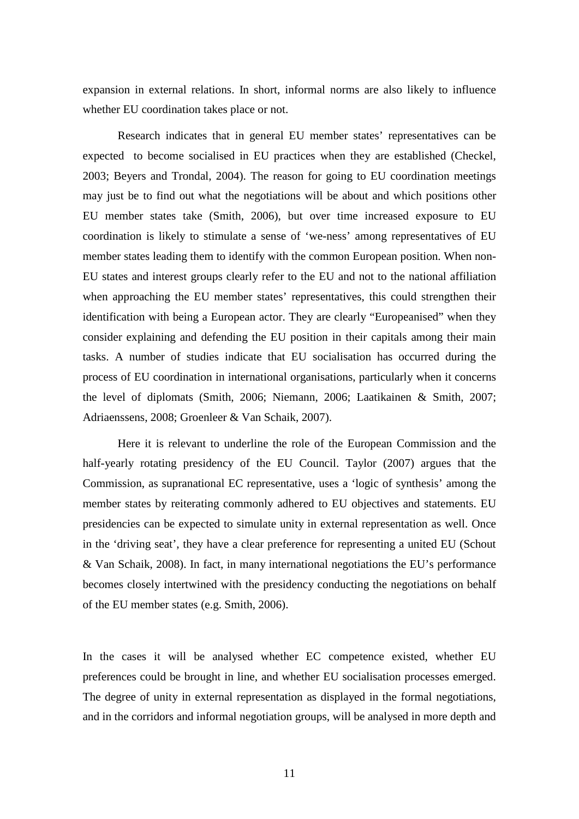expansion in external relations. In short, informal norms are also likely to influence whether EU coordination takes place or not.

Research indicates that in general EU member states' representatives can be expected to become socialised in EU practices when they are established (Checkel, 2003; Beyers and Trondal, 2004). The reason for going to EU coordination meetings may just be to find out what the negotiations will be about and which positions other EU member states take (Smith, 2006), but over time increased exposure to EU coordination is likely to stimulate a sense of 'we-ness' among representatives of EU member states leading them to identify with the common European position. When non-EU states and interest groups clearly refer to the EU and not to the national affiliation when approaching the EU member states' representatives, this could strengthen their identification with being a European actor. They are clearly "Europeanised" when they consider explaining and defending the EU position in their capitals among their main tasks. A number of studies indicate that EU socialisation has occurred during the process of EU coordination in international organisations, particularly when it concerns the level of diplomats (Smith, 2006; Niemann, 2006; Laatikainen & Smith, 2007; Adriaenssens, 2008; Groenleer & Van Schaik, 2007).

Here it is relevant to underline the role of the European Commission and the half-yearly rotating presidency of the EU Council. Taylor (2007) argues that the Commission, as supranational EC representative, uses a 'logic of synthesis' among the member states by reiterating commonly adhered to EU objectives and statements. EU presidencies can be expected to simulate unity in external representation as well. Once in the 'driving seat', they have a clear preference for representing a united EU (Schout & Van Schaik, 2008). In fact, in many international negotiations the EU's performance becomes closely intertwined with the presidency conducting the negotiations on behalf of the EU member states (e.g. Smith, 2006).

In the cases it will be analysed whether EC competence existed, whether EU preferences could be brought in line, and whether EU socialisation processes emerged. The degree of unity in external representation as displayed in the formal negotiations, and in the corridors and informal negotiation groups, will be analysed in more depth and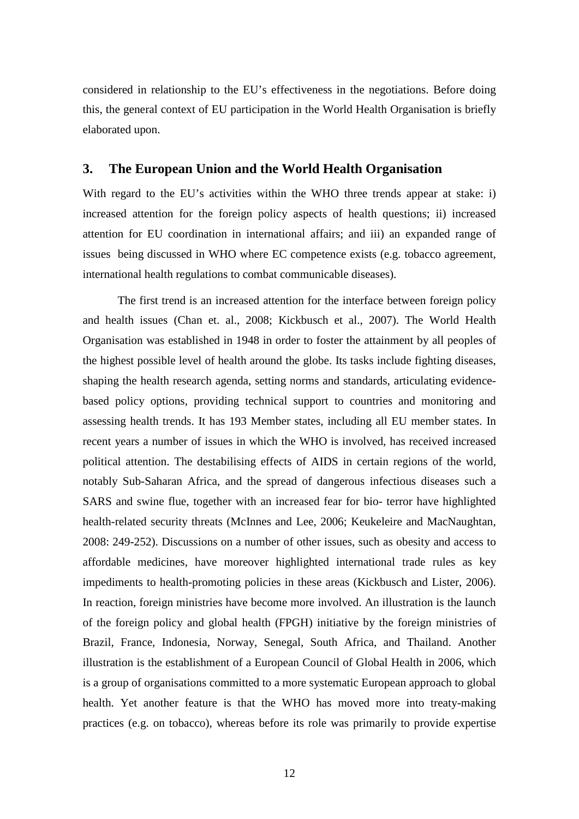considered in relationship to the EU's effectiveness in the negotiations. Before doing this, the general context of EU participation in the World Health Organisation is briefly elaborated upon.

### **3. The European Union and the World Health Organisation**

With regard to the EU's activities within the WHO three trends appear at stake: i) increased attention for the foreign policy aspects of health questions; ii) increased attention for EU coordination in international affairs; and iii) an expanded range of issues being discussed in WHO where EC competence exists (e.g. tobacco agreement, international health regulations to combat communicable diseases).

The first trend is an increased attention for the interface between foreign policy and health issues (Chan et. al., 2008; Kickbusch et al., 2007). The World Health Organisation was established in 1948 in order to foster the attainment by all peoples of the highest possible level of health around the globe. Its tasks include fighting diseases, shaping the health research agenda, setting norms and standards, articulating evidencebased policy options, providing technical support to countries and monitoring and assessing health trends. It has 193 Member states, including all EU member states. In recent years a number of issues in which the WHO is involved, has received increased political attention. The destabilising effects of AIDS in certain regions of the world, notably Sub-Saharan Africa, and the spread of dangerous infectious diseases such a SARS and swine flue, together with an increased fear for bio- terror have highlighted health-related security threats (McInnes and Lee, 2006; Keukeleire and MacNaughtan, 2008: 249-252). Discussions on a number of other issues, such as obesity and access to affordable medicines, have moreover highlighted international trade rules as key impediments to health-promoting policies in these areas (Kickbusch and Lister, 2006). In reaction, foreign ministries have become more involved. An illustration is the launch of the foreign policy and global health (FPGH) initiative by the foreign ministries of Brazil, France, Indonesia, Norway, Senegal, South Africa, and Thailand. Another illustration is the establishment of a European Council of Global Health in 2006, which is a group of organisations committed to a more systematic European approach to global health. Yet another feature is that the WHO has moved more into treaty-making practices (e.g. on tobacco), whereas before its role was primarily to provide expertise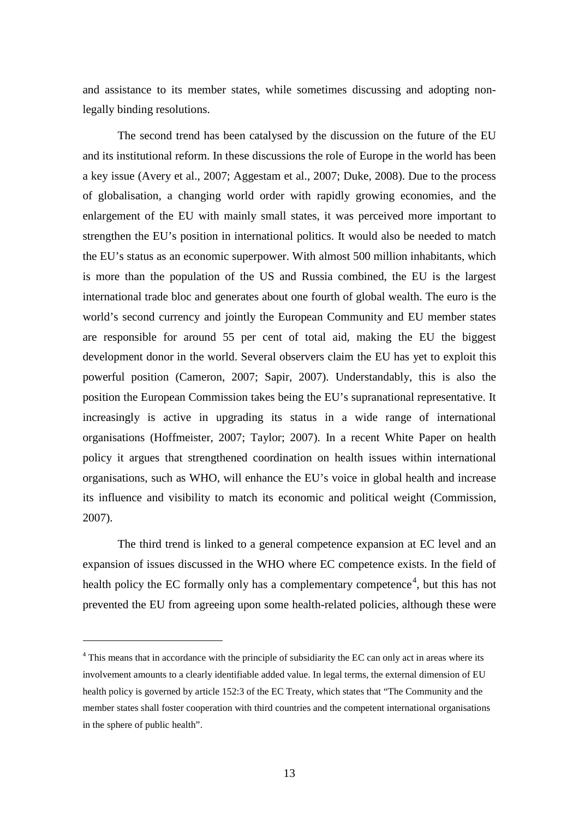and assistance to its member states, while sometimes discussing and adopting nonlegally binding resolutions.

The second trend has been catalysed by the discussion on the future of the EU and its institutional reform. In these discussions the role of Europe in the world has been a key issue (Avery et al., 2007; Aggestam et al., 2007; Duke, 2008). Due to the process of globalisation, a changing world order with rapidly growing economies, and the enlargement of the EU with mainly small states, it was perceived more important to strengthen the EU's position in international politics. It would also be needed to match the EU's status as an economic superpower. With almost 500 million inhabitants, which is more than the population of the US and Russia combined, the EU is the largest international trade bloc and generates about one fourth of global wealth. The euro is the world's second currency and jointly the European Community and EU member states are responsible for around 55 per cent of total aid, making the EU the biggest development donor in the world. Several observers claim the EU has yet to exploit this powerful position (Cameron, 2007; Sapir, 2007). Understandably, this is also the position the European Commission takes being the EU's supranational representative. It increasingly is active in upgrading its status in a wide range of international organisations (Hoffmeister, 2007; Taylor; 2007). In a recent White Paper on health policy it argues that strengthened coordination on health issues within international organisations, such as WHO, will enhance the EU's voice in global health and increase its influence and visibility to match its economic and political weight (Commission, 2007).

The third trend is linked to a general competence expansion at EC level and an expansion of issues discussed in the WHO where EC competence exists. In the field of health policy the EC formally only has a complementary competence<sup>[4](#page-15-0)</sup>, but this has not prevented the EU from agreeing upon some health-related policies, although these were

<span id="page-15-0"></span><sup>&</sup>lt;sup>4</sup> This means that in accordance with the principle of subsidiarity the EC can only act in areas where its involvement amounts to a clearly identifiable added value. In legal terms, the external dimension of EU health policy is governed by article 152:3 of the EC Treaty, which states that "The Community and the member states shall foster cooperation with third countries and the competent international organisations in the sphere of public health".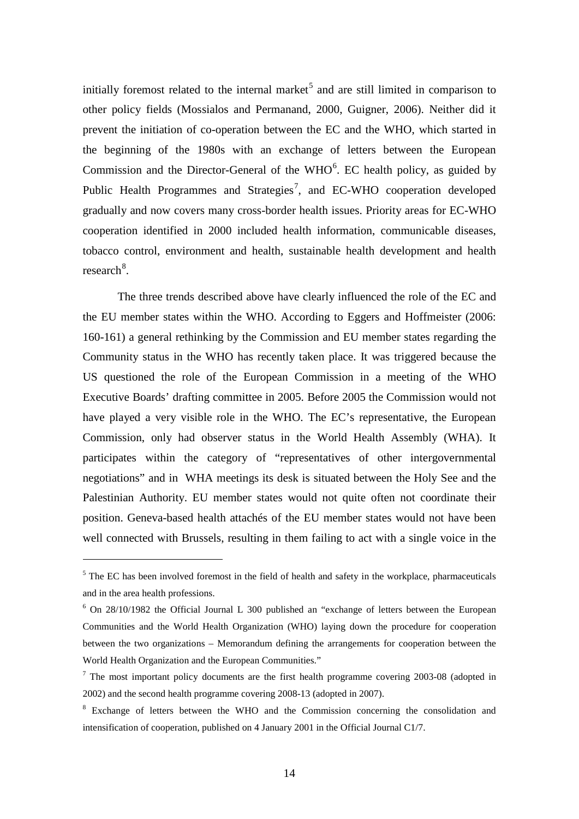initially foremost related to the internal market<sup>[5](#page-16-0)</sup> and are still limited in comparison to other policy fields (Mossialos and Permanand, 2000, Guigner, 2006). Neither did it prevent the initiation of co-operation between the EC and the WHO, which started in the beginning of the 1980s with an exchange of letters between the European Commission and the Director-General of the  $WHO<sup>6</sup>$  $WHO<sup>6</sup>$  $WHO<sup>6</sup>$ . EC health policy, as guided by Public Health Programmes and Strategies<sup>[7](#page-16-2)</sup>, and EC-WHO cooperation developed gradually and now covers many cross-border health issues. Priority areas for EC-WHO cooperation identified in 2000 included health information, communicable diseases, tobacco control, environment and health, sustainable health development and health research<sup>[8](#page-16-3)</sup>.

The three trends described above have clearly influenced the role of the EC and the EU member states within the WHO. According to Eggers and Hoffmeister (2006: 160-161) a general rethinking by the Commission and EU member states regarding the Community status in the WHO has recently taken place. It was triggered because the US questioned the role of the European Commission in a meeting of the WHO Executive Boards' drafting committee in 2005. Before 2005 the Commission would not have played a very visible role in the WHO. The EC's representative, the European Commission, only had observer status in the World Health Assembly (WHA). It participates within the category of "representatives of other intergovernmental negotiations" and in WHA meetings its desk is situated between the Holy See and the Palestinian Authority. EU member states would not quite often not coordinate their position. Geneva-based health attachés of the EU member states would not have been well connected with Brussels, resulting in them failing to act with a single voice in the

<span id="page-16-0"></span><sup>&</sup>lt;sup>5</sup> The EC has been involved foremost in the field of health and safety in the workplace, pharmaceuticals and in the area health professions.

<span id="page-16-1"></span><sup>6</sup> On 28/10/1982 the Official Journal L 300 published an "exchange of letters between the European Communities and the World Health Organization (WHO) laying down the procedure for cooperation between the two organizations – Memorandum defining the arrangements for cooperation between the World Health Organization and the European Communities."

<span id="page-16-2"></span> $<sup>7</sup>$  The most important policy documents are the first health programme covering 2003-08 (adopted in</sup> 2002) and the second health programme covering 2008-13 (adopted in 2007).

<span id="page-16-3"></span><sup>&</sup>lt;sup>8</sup> Exchange of letters between the WHO and the Commission concerning the consolidation and intensification of cooperation, published on 4 January 2001 in the Official Journal C1/7.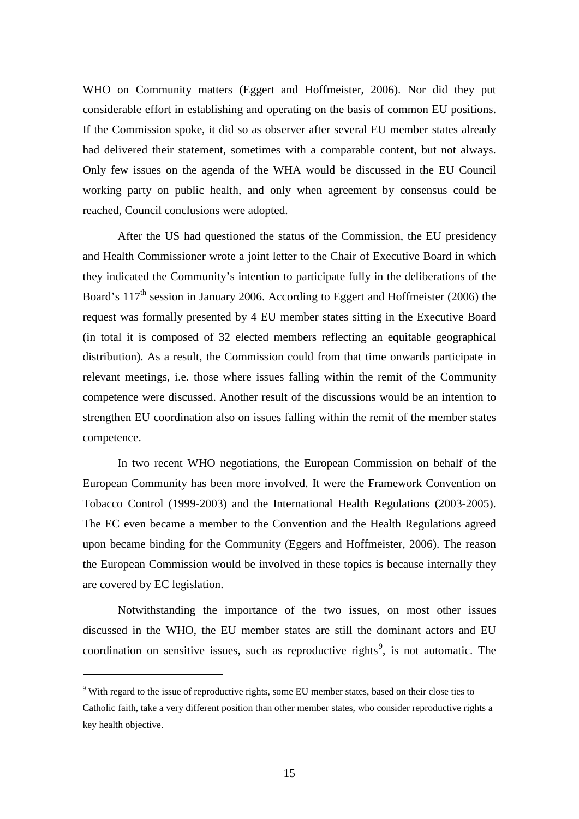WHO on Community matters (Eggert and Hoffmeister, 2006). Nor did they put considerable effort in establishing and operating on the basis of common EU positions. If the Commission spoke, it did so as observer after several EU member states already had delivered their statement, sometimes with a comparable content, but not always. Only few issues on the agenda of the WHA would be discussed in the EU Council working party on public health, and only when agreement by consensus could be reached, Council conclusions were adopted.

After the US had questioned the status of the Commission, the EU presidency and Health Commissioner wrote a joint letter to the Chair of Executive Board in which they indicated the Community's intention to participate fully in the deliberations of the Board's  $117<sup>th</sup>$  session in January 2006. According to Eggert and Hoffmeister (2006) the request was formally presented by 4 EU member states sitting in the Executive Board (in total it is composed of 32 elected members reflecting an equitable geographical distribution). As a result, the Commission could from that time onwards participate in relevant meetings, i.e. those where issues falling within the remit of the Community competence were discussed. Another result of the discussions would be an intention to strengthen EU coordination also on issues falling within the remit of the member states competence.

In two recent WHO negotiations, the European Commission on behalf of the European Community has been more involved. It were the Framework Convention on Tobacco Control (1999-2003) and the International Health Regulations (2003-2005). The EC even became a member to the Convention and the Health Regulations agreed upon became binding for the Community (Eggers and Hoffmeister, 2006). The reason the European Commission would be involved in these topics is because internally they are covered by EC legislation.

Notwithstanding the importance of the two issues, on most other issues discussed in the WHO, the EU member states are still the dominant actors and EU coordination on sensitive issues, such as reproductive rights<sup>[9](#page-17-0)</sup>, is not automatic. The

<span id="page-17-0"></span><sup>&</sup>lt;sup>9</sup> With regard to the issue of reproductive rights, some EU member states, based on their close ties to Catholic faith, take a very different position than other member states, who consider reproductive rights a key health objective.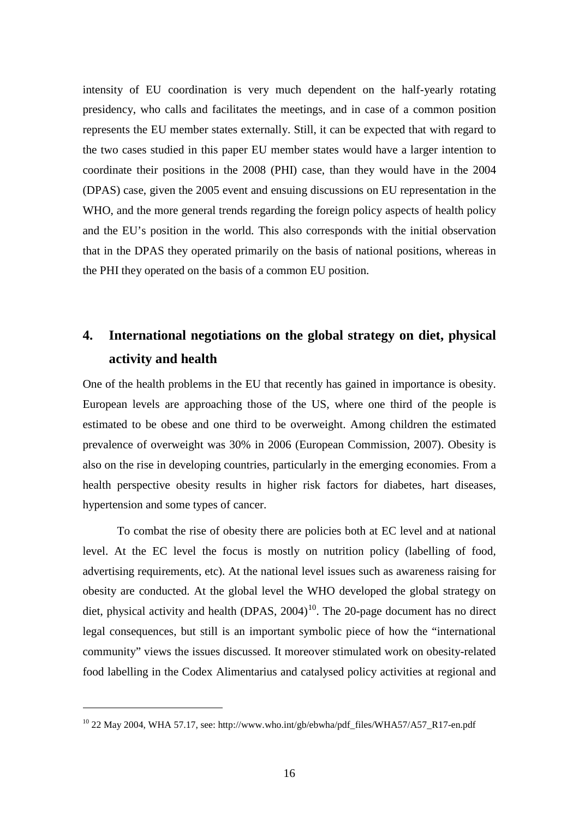intensity of EU coordination is very much dependent on the half-yearly rotating presidency, who calls and facilitates the meetings, and in case of a common position represents the EU member states externally. Still, it can be expected that with regard to the two cases studied in this paper EU member states would have a larger intention to coordinate their positions in the 2008 (PHI) case, than they would have in the 2004 (DPAS) case, given the 2005 event and ensuing discussions on EU representation in the WHO, and the more general trends regarding the foreign policy aspects of health policy and the EU's position in the world. This also corresponds with the initial observation that in the DPAS they operated primarily on the basis of national positions, whereas in the PHI they operated on the basis of a common EU position.

# **4. International negotiations on the global strategy on diet, physical activity and health**

One of the health problems in the EU that recently has gained in importance is obesity. European levels are approaching those of the US, where one third of the people is estimated to be obese and one third to be overweight. Among children the estimated prevalence of overweight was 30% in 2006 (European Commission, 2007). Obesity is also on the rise in developing countries, particularly in the emerging economies. From a health perspective obesity results in higher risk factors for diabetes, hart diseases, hypertension and some types of cancer.

To combat the rise of obesity there are policies both at EC level and at national level. At the EC level the focus is mostly on nutrition policy (labelling of food, advertising requirements, etc). At the national level issues such as awareness raising for obesity are conducted. At the global level the WHO developed the global strategy on diet, physical activity and health (DPAS,  $2004$ )<sup>[10](#page-18-0)</sup>. The 20-page document has no direct legal consequences, but still is an important symbolic piece of how the "international community" views the issues discussed. It moreover stimulated work on obesity-related food labelling in the Codex Alimentarius and catalysed policy activities at regional and

<span id="page-18-0"></span><sup>10</sup> 22 May 2004, WHA 57.17, see: http://www.who.int/gb/ebwha/pdf\_files/WHA57/A57\_R17-en.pdf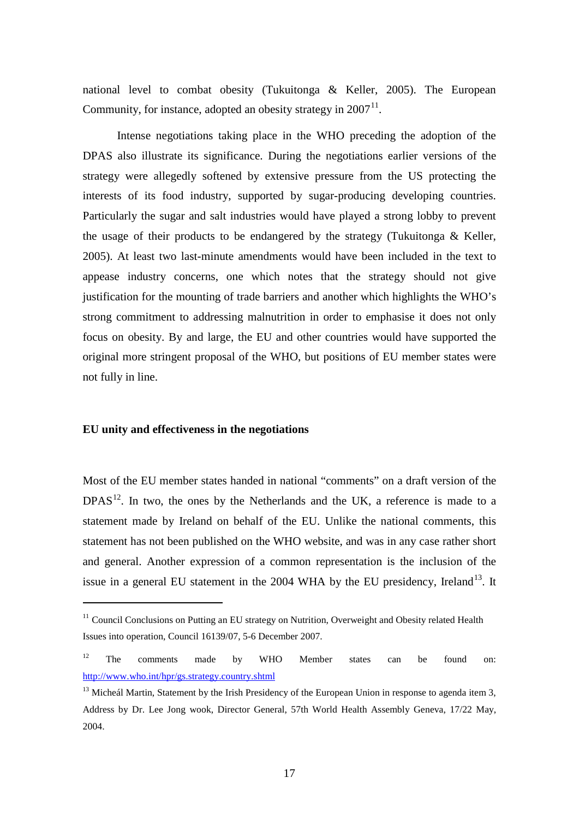national level to combat obesity (Tukuitonga & Keller, 2005). The European Community, for instance, adopted an obesity strategy in  $2007<sup>11</sup>$  $2007<sup>11</sup>$  $2007<sup>11</sup>$ .

Intense negotiations taking place in the WHO preceding the adoption of the DPAS also illustrate its significance. During the negotiations earlier versions of the strategy were allegedly softened by extensive pressure from the US protecting the interests of its food industry, supported by sugar-producing developing countries. Particularly the sugar and salt industries would have played a strong lobby to prevent the usage of their products to be endangered by the strategy (Tukuitonga & Keller, 2005). At least two last-minute amendments would have been included in the text to appease industry concerns, one which notes that the strategy should not give justification for the mounting of trade barriers and another which highlights the WHO's strong commitment to addressing malnutrition in order to emphasise it does not only focus on obesity. By and large, the EU and other countries would have supported the original more stringent proposal of the WHO, but positions of EU member states were not fully in line.

#### **EU unity and effectiveness in the negotiations**

-

Most of the EU member states handed in national "comments" on a draft version of the  $DPAS<sup>12</sup>$  $DPAS<sup>12</sup>$  $DPAS<sup>12</sup>$ . In two, the ones by the Netherlands and the UK, a reference is made to a statement made by Ireland on behalf of the EU. Unlike the national comments, this statement has not been published on the WHO website, and was in any case rather short and general. Another expression of a common representation is the inclusion of the issue in a general EU statement in the  $2004$  WHA by the EU presidency, Ireland<sup>[13](#page-19-2)</sup>. It

<span id="page-19-0"></span> $11$  Council Conclusions on Putting an EU strategy on Nutrition, Overweight and Obesity related Health Issues into operation, Council 16139/07, 5-6 December 2007.

<span id="page-19-1"></span> $12$  The comments made by WHO Member states can be found on: <http://www.who.int/hpr/gs.strategy.country.shtml>

<span id="page-19-2"></span> $13$  Micheál Martin, Statement by the Irish Presidency of the European Union in response to agenda item 3, Address by Dr. Lee Jong wook, Director General, 57th World Health Assembly Geneva, 17/22 May, 2004.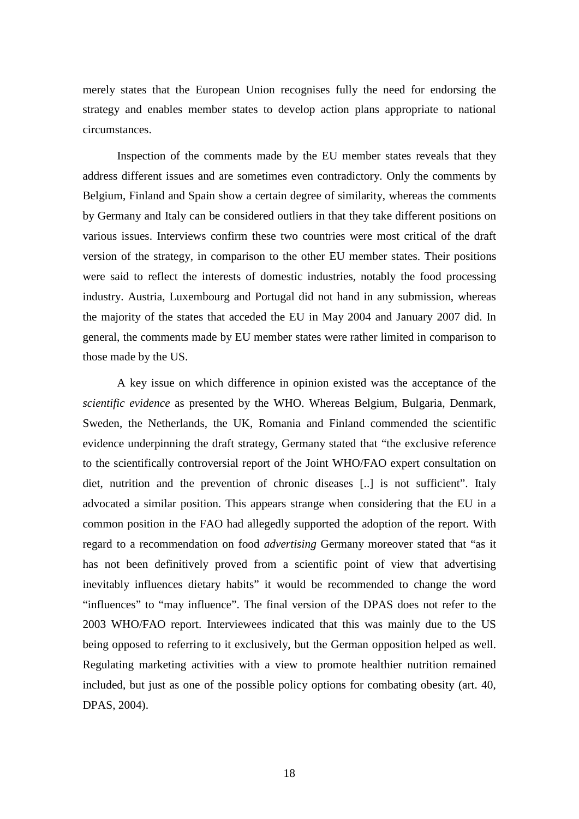merely states that the European Union recognises fully the need for endorsing the strategy and enables member states to develop action plans appropriate to national circumstances.

Inspection of the comments made by the EU member states reveals that they address different issues and are sometimes even contradictory. Only the comments by Belgium, Finland and Spain show a certain degree of similarity, whereas the comments by Germany and Italy can be considered outliers in that they take different positions on various issues. Interviews confirm these two countries were most critical of the draft version of the strategy, in comparison to the other EU member states. Their positions were said to reflect the interests of domestic industries, notably the food processing industry. Austria, Luxembourg and Portugal did not hand in any submission, whereas the majority of the states that acceded the EU in May 2004 and January 2007 did. In general, the comments made by EU member states were rather limited in comparison to those made by the US.

A key issue on which difference in opinion existed was the acceptance of the *scientific evidence* as presented by the WHO. Whereas Belgium, Bulgaria, Denmark, Sweden, the Netherlands, the UK, Romania and Finland commended the scientific evidence underpinning the draft strategy, Germany stated that "the exclusive reference to the scientifically controversial report of the Joint WHO/FAO expert consultation on diet, nutrition and the prevention of chronic diseases [..] is not sufficient". Italy advocated a similar position. This appears strange when considering that the EU in a common position in the FAO had allegedly supported the adoption of the report. With regard to a recommendation on food *advertising* Germany moreover stated that "as it has not been definitively proved from a scientific point of view that advertising inevitably influences dietary habits" it would be recommended to change the word "influences" to "may influence". The final version of the DPAS does not refer to the 2003 WHO/FAO report. Interviewees indicated that this was mainly due to the US being opposed to referring to it exclusively, but the German opposition helped as well. Regulating marketing activities with a view to promote healthier nutrition remained included, but just as one of the possible policy options for combating obesity (art. 40, DPAS, 2004).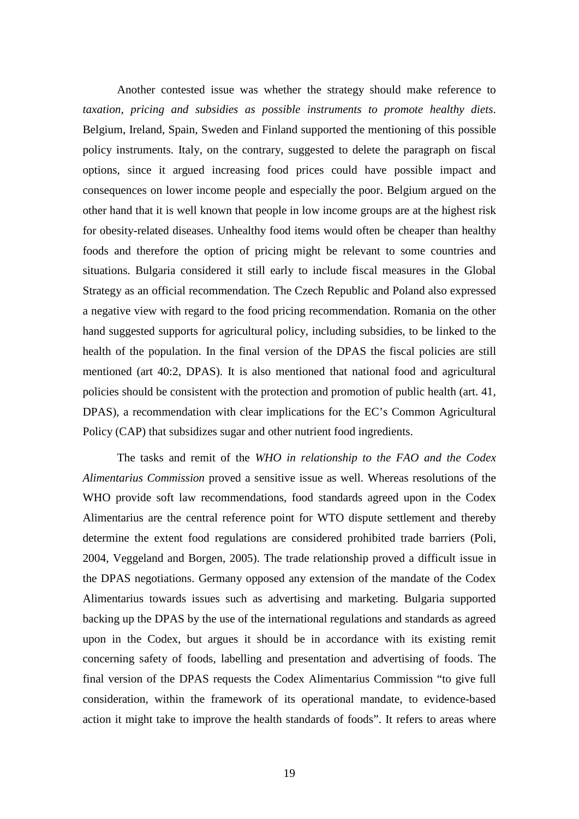Another contested issue was whether the strategy should make reference to *taxation, pricing and subsidies as possible instruments to promote healthy diets*. Belgium, Ireland, Spain, Sweden and Finland supported the mentioning of this possible policy instruments. Italy, on the contrary, suggested to delete the paragraph on fiscal options, since it argued increasing food prices could have possible impact and consequences on lower income people and especially the poor. Belgium argued on the other hand that it is well known that people in low income groups are at the highest risk for obesity-related diseases. Unhealthy food items would often be cheaper than healthy foods and therefore the option of pricing might be relevant to some countries and situations. Bulgaria considered it still early to include fiscal measures in the Global Strategy as an official recommendation. The Czech Republic and Poland also expressed a negative view with regard to the food pricing recommendation. Romania on the other hand suggested supports for agricultural policy, including subsidies, to be linked to the health of the population. In the final version of the DPAS the fiscal policies are still mentioned (art 40:2, DPAS). It is also mentioned that national food and agricultural policies should be consistent with the protection and promotion of public health (art. 41, DPAS), a recommendation with clear implications for the EC's Common Agricultural Policy (CAP) that subsidizes sugar and other nutrient food ingredients.

The tasks and remit of the *WHO in relationship to the FAO and the Codex Alimentarius Commission* proved a sensitive issue as well. Whereas resolutions of the WHO provide soft law recommendations, food standards agreed upon in the Codex Alimentarius are the central reference point for WTO dispute settlement and thereby determine the extent food regulations are considered prohibited trade barriers (Poli, 2004, Veggeland and Borgen, 2005). The trade relationship proved a difficult issue in the DPAS negotiations. Germany opposed any extension of the mandate of the Codex Alimentarius towards issues such as advertising and marketing. Bulgaria supported backing up the DPAS by the use of the international regulations and standards as agreed upon in the Codex, but argues it should be in accordance with its existing remit concerning safety of foods, labelling and presentation and advertising of foods. The final version of the DPAS requests the Codex Alimentarius Commission "to give full consideration, within the framework of its operational mandate, to evidence-based action it might take to improve the health standards of foods". It refers to areas where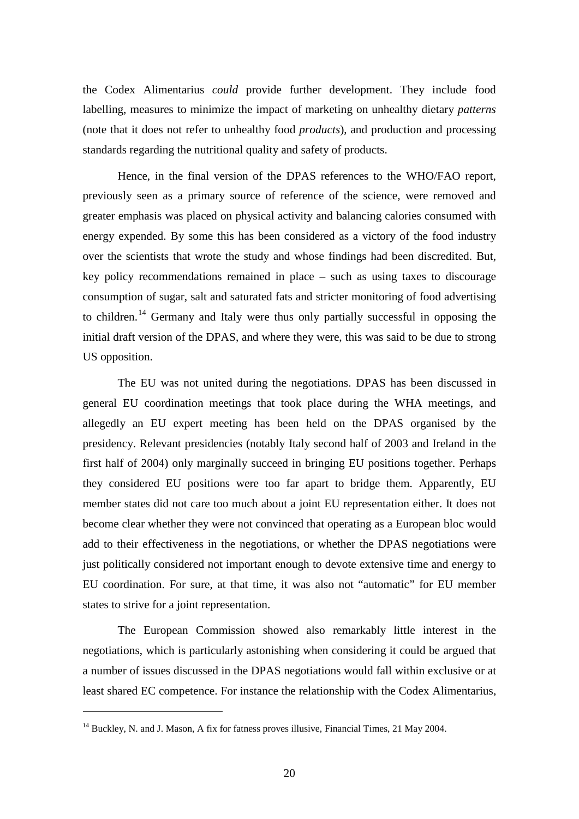the Codex Alimentarius *could* provide further development. They include food labelling, measures to minimize the impact of marketing on unhealthy dietary *patterns* (note that it does not refer to unhealthy food *products*), and production and processing standards regarding the nutritional quality and safety of products.

Hence, in the final version of the DPAS references to the WHO/FAO report, previously seen as a primary source of reference of the science, were removed and greater emphasis was placed on physical activity and balancing calories consumed with energy expended. By some this has been considered as a victory of the food industry over the scientists that wrote the study and whose findings had been discredited. But, key policy recommendations remained in place – such as using taxes to discourage consumption of sugar, salt and saturated fats and stricter monitoring of food advertising to children.<sup>[14](#page-22-0)</sup> Germany and Italy were thus only partially successful in opposing the initial draft version of the DPAS, and where they were, this was said to be due to strong US opposition.

The EU was not united during the negotiations. DPAS has been discussed in general EU coordination meetings that took place during the WHA meetings, and allegedly an EU expert meeting has been held on the DPAS organised by the presidency. Relevant presidencies (notably Italy second half of 2003 and Ireland in the first half of 2004) only marginally succeed in bringing EU positions together. Perhaps they considered EU positions were too far apart to bridge them. Apparently, EU member states did not care too much about a joint EU representation either. It does not become clear whether they were not convinced that operating as a European bloc would add to their effectiveness in the negotiations, or whether the DPAS negotiations were just politically considered not important enough to devote extensive time and energy to EU coordination. For sure, at that time, it was also not "automatic" for EU member states to strive for a joint representation.

The European Commission showed also remarkably little interest in the negotiations, which is particularly astonishing when considering it could be argued that a number of issues discussed in the DPAS negotiations would fall within exclusive or at least shared EC competence. For instance the relationship with the Codex Alimentarius,

<span id="page-22-0"></span><sup>&</sup>lt;sup>14</sup> Buckley, N. and J. Mason, A fix for fatness proves illusive, Financial Times, 21 May 2004.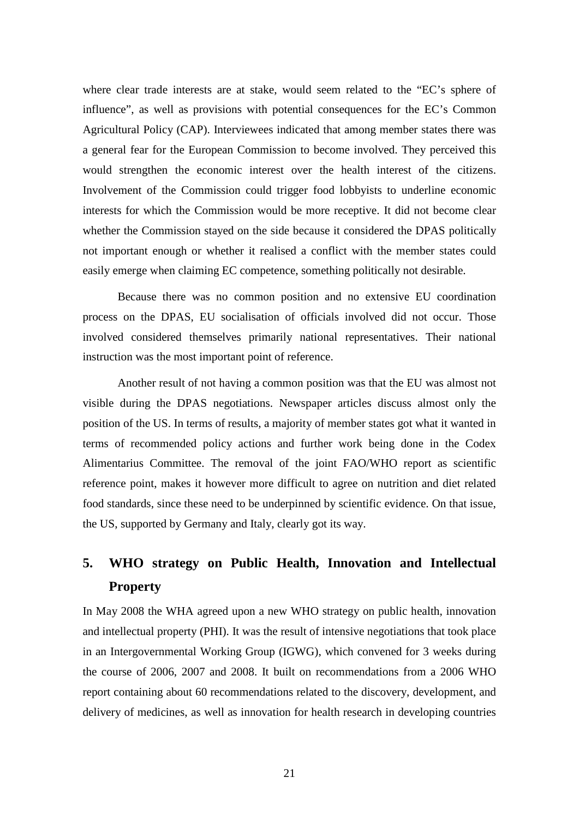where clear trade interests are at stake, would seem related to the "EC's sphere of influence", as well as provisions with potential consequences for the EC's Common Agricultural Policy (CAP). Interviewees indicated that among member states there was a general fear for the European Commission to become involved. They perceived this would strengthen the economic interest over the health interest of the citizens. Involvement of the Commission could trigger food lobbyists to underline economic interests for which the Commission would be more receptive. It did not become clear whether the Commission stayed on the side because it considered the DPAS politically not important enough or whether it realised a conflict with the member states could easily emerge when claiming EC competence, something politically not desirable.

Because there was no common position and no extensive EU coordination process on the DPAS, EU socialisation of officials involved did not occur. Those involved considered themselves primarily national representatives. Their national instruction was the most important point of reference.

Another result of not having a common position was that the EU was almost not visible during the DPAS negotiations. Newspaper articles discuss almost only the position of the US. In terms of results, a majority of member states got what it wanted in terms of recommended policy actions and further work being done in the Codex Alimentarius Committee. The removal of the joint FAO/WHO report as scientific reference point, makes it however more difficult to agree on nutrition and diet related food standards, since these need to be underpinned by scientific evidence. On that issue, the US, supported by Germany and Italy, clearly got its way.

# **5. WHO strategy on Public Health, Innovation and Intellectual Property**

In May 2008 the WHA agreed upon a new WHO strategy on public health, innovation and intellectual property (PHI). It was the result of intensive negotiations that took place in an Intergovernmental Working Group (IGWG), which convened for 3 weeks during the course of 2006, 2007 and 2008. It built on recommendations from a 2006 WHO report containing about 60 recommendations related to the discovery, development, and delivery of medicines, as well as innovation for health research in developing countries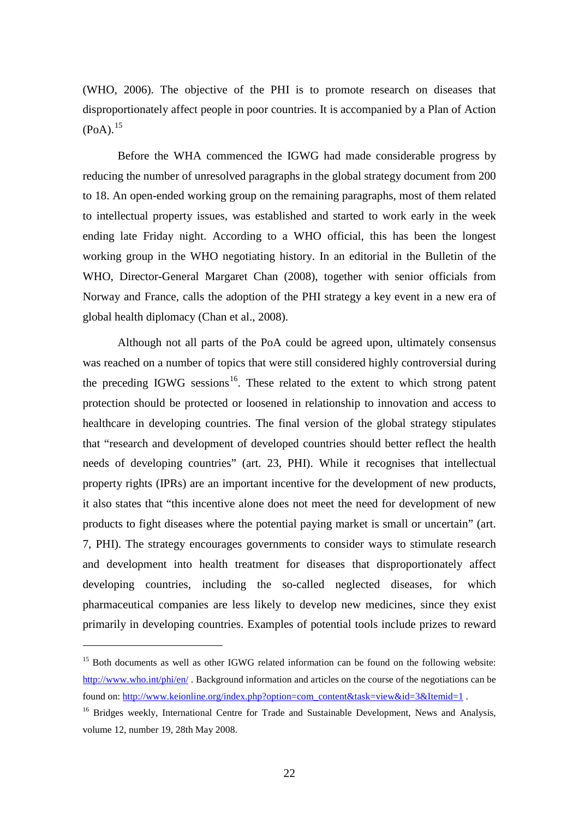(WHO, 2006). The objective of the PHI is to promote research on diseases that disproportionately affect people in poor countries. It is accompanied by a Plan of Action  $(PoA).^{15}$  $(PoA).^{15}$  $(PoA).^{15}$ 

Before the WHA commenced the IGWG had made considerable progress by reducing the number of unresolved paragraphs in the global strategy document from 200 to 18. An open-ended working group on the remaining paragraphs, most of them related to intellectual property issues, was established and started to work early in the week ending late Friday night. According to a WHO official, this has been the longest working group in the WHO negotiating history. In an editorial in the Bulletin of the WHO, Director-General Margaret Chan (2008), together with senior officials from Norway and France, calls the adoption of the PHI strategy a key event in a new era of global health diplomacy (Chan et al., 2008).

Although not all parts of the PoA could be agreed upon, ultimately consensus was reached on a number of topics that were still considered highly controversial during the preceding IGWG sessions<sup>[16](#page-24-1)</sup>. These related to the extent to which strong patent protection should be protected or loosened in relationship to innovation and access to healthcare in developing countries. The final version of the global strategy stipulates that "research and development of developed countries should better reflect the health needs of developing countries" (art. 23, PHI). While it recognises that intellectual property rights (IPRs) are an important incentive for the development of new products, it also states that "this incentive alone does not meet the need for development of new products to fight diseases where the potential paying market is small or uncertain" (art. 7, PHI). The strategy encourages governments to consider ways to stimulate research and development into health treatment for diseases that disproportionately affect developing countries, including the so-called neglected diseases, for which pharmaceutical companies are less likely to develop new medicines, since they exist primarily in developing countries. Examples of potential tools include prizes to reward

<span id="page-24-0"></span><sup>&</sup>lt;sup>15</sup> Both documents as well as other IGWG related information can be found on the following website: <http://www.who.int/phi/en/> . Background information and articles on the course of the negotiations can be found on: [http://www.keionline.org/index.php?option=com\\_content&task=view&id=3&Itemid=1](http://www.keionline.org/index.php?option=com_content&task=view&id=3&Itemid=1) .

<span id="page-24-1"></span><sup>&</sup>lt;sup>16</sup> Bridges weekly, International Centre for Trade and Sustainable Development, News and Analysis, volume 12, number 19, 28th May 2008.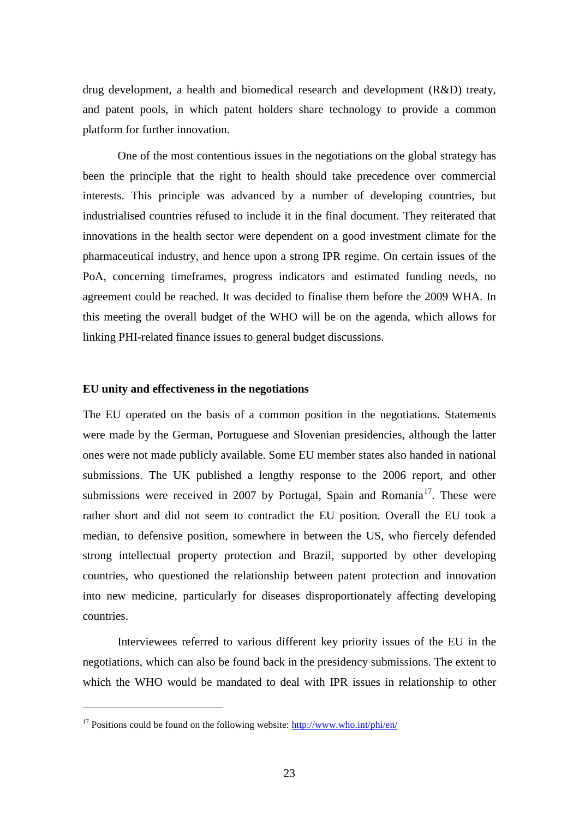drug development, a health and biomedical research and development (R&D) treaty, and patent pools, in which patent holders share technology to provide a common platform for further innovation.

One of the most contentious issues in the negotiations on the global strategy has been the principle that the right to health should take precedence over commercial interests. This principle was advanced by a number of developing countries, but industrialised countries refused to include it in the final document. They reiterated that innovations in the health sector were dependent on a good investment climate for the pharmaceutical industry, and hence upon a strong IPR regime. On certain issues of the PoA, concerning timeframes, progress indicators and estimated funding needs, no agreement could be reached. It was decided to finalise them before the 2009 WHA. In this meeting the overall budget of the WHO will be on the agenda, which allows for linking PHI-related finance issues to general budget discussions.

#### **EU unity and effectiveness in the negotiations**

The EU operated on the basis of a common position in the negotiations. Statements were made by the German, Portuguese and Slovenian presidencies, although the latter ones were not made publicly available. Some EU member states also handed in national submissions. The UK published a lengthy response to the 2006 report, and other submissions were received in 2007 by Portugal, Spain and Romania<sup>[17](#page-25-0)</sup>. These were rather short and did not seem to contradict the EU position. Overall the EU took a median, to defensive position, somewhere in between the US, who fiercely defended strong intellectual property protection and Brazil, supported by other developing countries, who questioned the relationship between patent protection and innovation into new medicine, particularly for diseases disproportionately affecting developing countries.

Interviewees referred to various different key priority issues of the EU in the negotiations, which can also be found back in the presidency submissions. The extent to which the WHO would be mandated to deal with IPR issues in relationship to other

<span id="page-25-0"></span><sup>&</sup>lt;sup>17</sup> Positions could be found on the following website:  $\frac{http://www.who.int/phi/en/}{http://www.who.int/phi/en/}$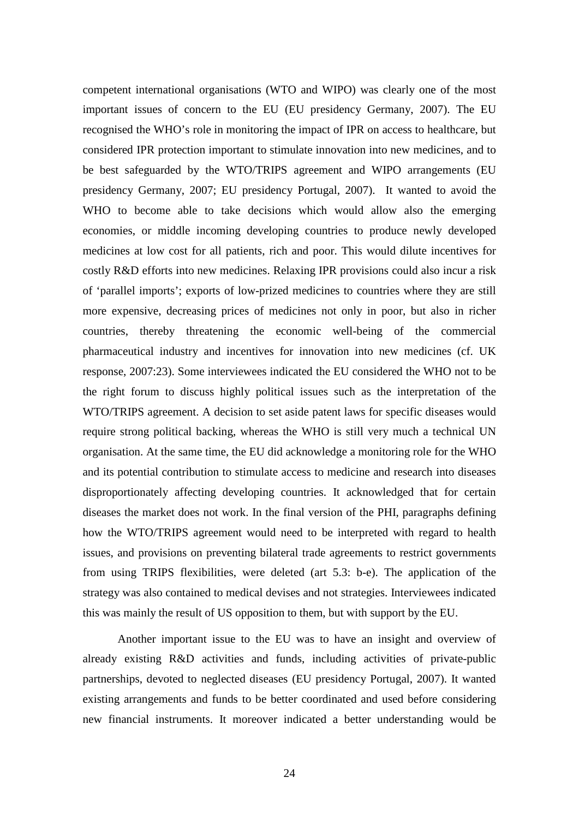competent international organisations (WTO and WIPO) was clearly one of the most important issues of concern to the EU (EU presidency Germany, 2007). The EU recognised the WHO's role in monitoring the impact of IPR on access to healthcare, but considered IPR protection important to stimulate innovation into new medicines, and to be best safeguarded by the WTO/TRIPS agreement and WIPO arrangements (EU presidency Germany, 2007; EU presidency Portugal, 2007). It wanted to avoid the WHO to become able to take decisions which would allow also the emerging economies, or middle incoming developing countries to produce newly developed medicines at low cost for all patients, rich and poor. This would dilute incentives for costly R&D efforts into new medicines. Relaxing IPR provisions could also incur a risk of 'parallel imports'; exports of low-prized medicines to countries where they are still more expensive, decreasing prices of medicines not only in poor, but also in richer countries, thereby threatening the economic well-being of the commercial pharmaceutical industry and incentives for innovation into new medicines (cf. UK response, 2007:23). Some interviewees indicated the EU considered the WHO not to be the right forum to discuss highly political issues such as the interpretation of the WTO/TRIPS agreement. A decision to set aside patent laws for specific diseases would require strong political backing, whereas the WHO is still very much a technical UN organisation. At the same time, the EU did acknowledge a monitoring role for the WHO and its potential contribution to stimulate access to medicine and research into diseases disproportionately affecting developing countries. It acknowledged that for certain diseases the market does not work. In the final version of the PHI, paragraphs defining how the WTO/TRIPS agreement would need to be interpreted with regard to health issues, and provisions on preventing bilateral trade agreements to restrict governments from using TRIPS flexibilities, were deleted (art 5.3: b-e). The application of the strategy was also contained to medical devises and not strategies. Interviewees indicated this was mainly the result of US opposition to them, but with support by the EU.

Another important issue to the EU was to have an insight and overview of already existing R&D activities and funds, including activities of private-public partnerships, devoted to neglected diseases (EU presidency Portugal, 2007). It wanted existing arrangements and funds to be better coordinated and used before considering new financial instruments. It moreover indicated a better understanding would be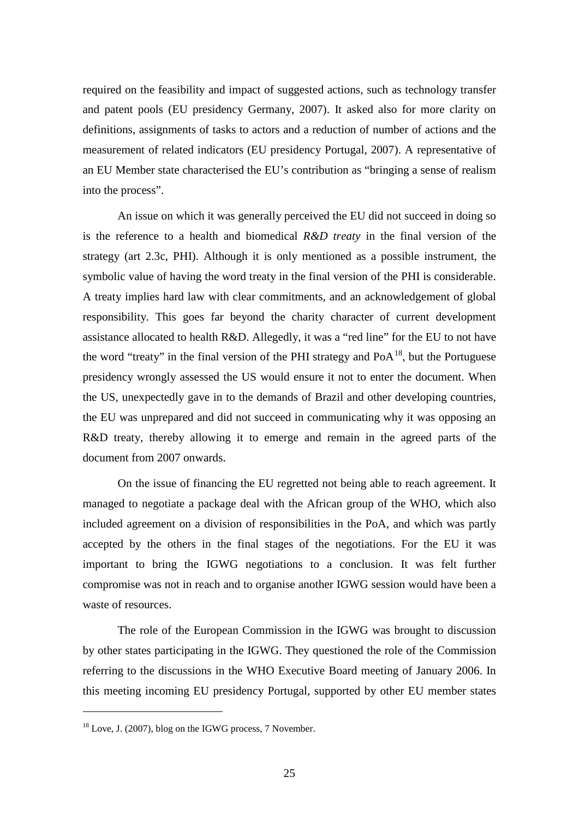required on the feasibility and impact of suggested actions, such as technology transfer and patent pools (EU presidency Germany, 2007). It asked also for more clarity on definitions, assignments of tasks to actors and a reduction of number of actions and the measurement of related indicators (EU presidency Portugal, 2007). A representative of an EU Member state characterised the EU's contribution as "bringing a sense of realism into the process".

An issue on which it was generally perceived the EU did not succeed in doing so is the reference to a health and biomedical *R&D treaty* in the final version of the strategy (art 2.3c, PHI). Although it is only mentioned as a possible instrument, the symbolic value of having the word treaty in the final version of the PHI is considerable. A treaty implies hard law with clear commitments, and an acknowledgement of global responsibility. This goes far beyond the charity character of current development assistance allocated to health R&D. Allegedly, it was a "red line" for the EU to not have the word "treaty" in the final version of the PHI strategy and  $PoA<sup>18</sup>$  $PoA<sup>18</sup>$  $PoA<sup>18</sup>$ , but the Portuguese presidency wrongly assessed the US would ensure it not to enter the document. When the US, unexpectedly gave in to the demands of Brazil and other developing countries, the EU was unprepared and did not succeed in communicating why it was opposing an R&D treaty, thereby allowing it to emerge and remain in the agreed parts of the document from 2007 onwards.

On the issue of financing the EU regretted not being able to reach agreement. It managed to negotiate a package deal with the African group of the WHO, which also included agreement on a division of responsibilities in the PoA, and which was partly accepted by the others in the final stages of the negotiations. For the EU it was important to bring the IGWG negotiations to a conclusion. It was felt further compromise was not in reach and to organise another IGWG session would have been a waste of resources.

The role of the European Commission in the IGWG was brought to discussion by other states participating in the IGWG. They questioned the role of the Commission referring to the discussions in the WHO Executive Board meeting of January 2006. In this meeting incoming EU presidency Portugal, supported by other EU member states

<span id="page-27-0"></span><sup>&</sup>lt;sup>18</sup> Love, J. (2007), blog on the IGWG process, 7 November.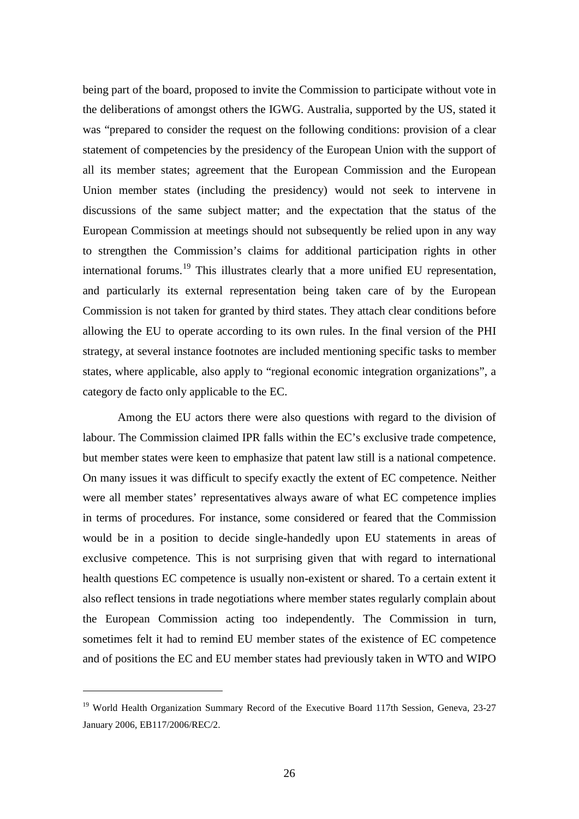being part of the board, proposed to invite the Commission to participate without vote in the deliberations of amongst others the IGWG. Australia, supported by the US, stated it was "prepared to consider the request on the following conditions: provision of a clear statement of competencies by the presidency of the European Union with the support of all its member states; agreement that the European Commission and the European Union member states (including the presidency) would not seek to intervene in discussions of the same subject matter; and the expectation that the status of the European Commission at meetings should not subsequently be relied upon in any way to strengthen the Commission's claims for additional participation rights in other international forums.<sup>[19](#page-28-0)</sup> This illustrates clearly that a more unified EU representation, and particularly its external representation being taken care of by the European Commission is not taken for granted by third states. They attach clear conditions before allowing the EU to operate according to its own rules. In the final version of the PHI strategy, at several instance footnotes are included mentioning specific tasks to member states, where applicable, also apply to "regional economic integration organizations", a category de facto only applicable to the EC.

Among the EU actors there were also questions with regard to the division of labour. The Commission claimed IPR falls within the EC's exclusive trade competence, but member states were keen to emphasize that patent law still is a national competence. On many issues it was difficult to specify exactly the extent of EC competence. Neither were all member states' representatives always aware of what EC competence implies in terms of procedures. For instance, some considered or feared that the Commission would be in a position to decide single-handedly upon EU statements in areas of exclusive competence. This is not surprising given that with regard to international health questions EC competence is usually non-existent or shared. To a certain extent it also reflect tensions in trade negotiations where member states regularly complain about the European Commission acting too independently. The Commission in turn, sometimes felt it had to remind EU member states of the existence of EC competence and of positions the EC and EU member states had previously taken in WTO and WIPO

<span id="page-28-0"></span><sup>&</sup>lt;sup>19</sup> World Health Organization Summary Record of the Executive Board 117th Session, Geneva, 23-27 January 2006, EB117/2006/REC/2.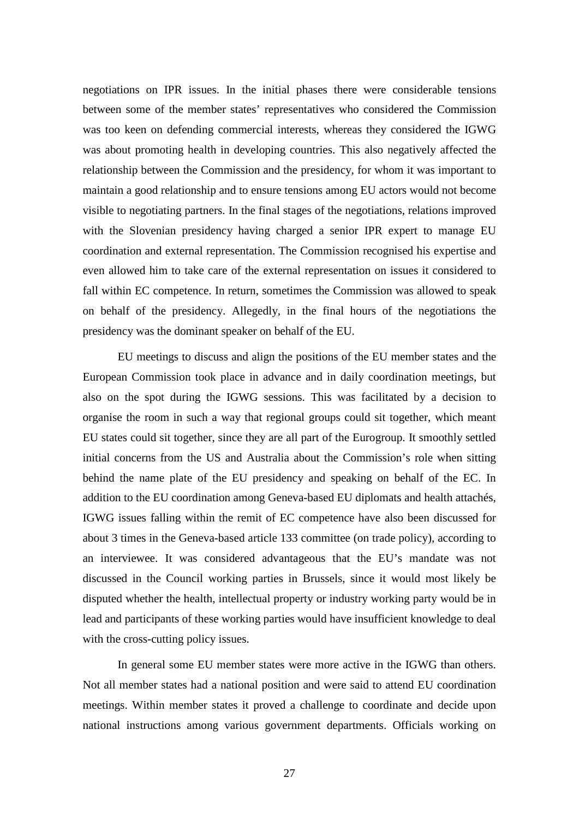negotiations on IPR issues. In the initial phases there were considerable tensions between some of the member states' representatives who considered the Commission was too keen on defending commercial interests, whereas they considered the IGWG was about promoting health in developing countries. This also negatively affected the relationship between the Commission and the presidency, for whom it was important to maintain a good relationship and to ensure tensions among EU actors would not become visible to negotiating partners. In the final stages of the negotiations, relations improved with the Slovenian presidency having charged a senior IPR expert to manage EU coordination and external representation. The Commission recognised his expertise and even allowed him to take care of the external representation on issues it considered to fall within EC competence. In return, sometimes the Commission was allowed to speak on behalf of the presidency. Allegedly, in the final hours of the negotiations the presidency was the dominant speaker on behalf of the EU.

EU meetings to discuss and align the positions of the EU member states and the European Commission took place in advance and in daily coordination meetings, but also on the spot during the IGWG sessions. This was facilitated by a decision to organise the room in such a way that regional groups could sit together, which meant EU states could sit together, since they are all part of the Eurogroup. It smoothly settled initial concerns from the US and Australia about the Commission's role when sitting behind the name plate of the EU presidency and speaking on behalf of the EC. In addition to the EU coordination among Geneva-based EU diplomats and health attachés, IGWG issues falling within the remit of EC competence have also been discussed for about 3 times in the Geneva-based article 133 committee (on trade policy), according to an interviewee. It was considered advantageous that the EU's mandate was not discussed in the Council working parties in Brussels, since it would most likely be disputed whether the health, intellectual property or industry working party would be in lead and participants of these working parties would have insufficient knowledge to deal with the cross-cutting policy issues.

In general some EU member states were more active in the IGWG than others. Not all member states had a national position and were said to attend EU coordination meetings. Within member states it proved a challenge to coordinate and decide upon national instructions among various government departments. Officials working on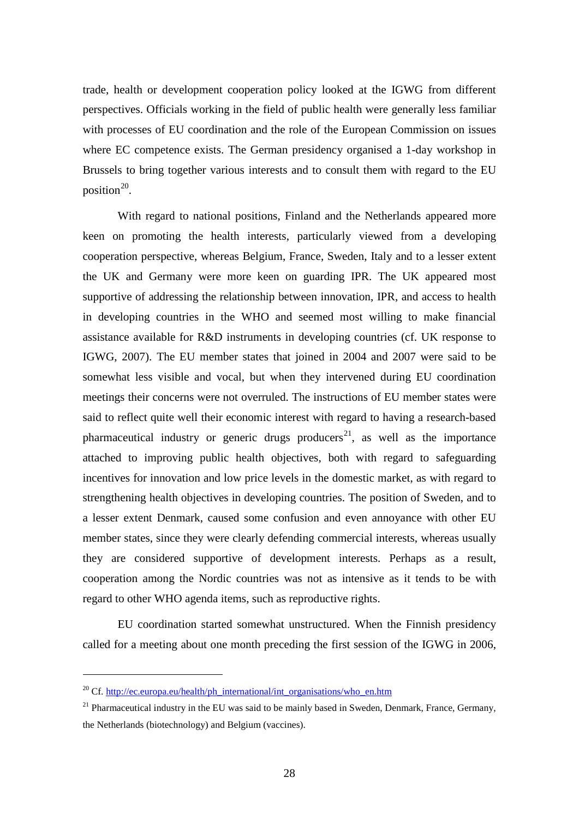trade, health or development cooperation policy looked at the IGWG from different perspectives. Officials working in the field of public health were generally less familiar with processes of EU coordination and the role of the European Commission on issues where EC competence exists. The German presidency organised a 1-day workshop in Brussels to bring together various interests and to consult them with regard to the EU position<sup>[20](#page-30-0)</sup>.

With regard to national positions, Finland and the Netherlands appeared more keen on promoting the health interests, particularly viewed from a developing cooperation perspective, whereas Belgium, France, Sweden, Italy and to a lesser extent the UK and Germany were more keen on guarding IPR. The UK appeared most supportive of addressing the relationship between innovation, IPR, and access to health in developing countries in the WHO and seemed most willing to make financial assistance available for R&D instruments in developing countries (cf. UK response to IGWG, 2007). The EU member states that joined in 2004 and 2007 were said to be somewhat less visible and vocal, but when they intervened during EU coordination meetings their concerns were not overruled. The instructions of EU member states were said to reflect quite well their economic interest with regard to having a research-based pharmaceutical industry or generic drugs producers<sup>[21](#page-30-1)</sup>, as well as the importance attached to improving public health objectives, both with regard to safeguarding incentives for innovation and low price levels in the domestic market, as with regard to strengthening health objectives in developing countries. The position of Sweden, and to a lesser extent Denmark, caused some confusion and even annoyance with other EU member states, since they were clearly defending commercial interests, whereas usually they are considered supportive of development interests. Perhaps as a result, cooperation among the Nordic countries was not as intensive as it tends to be with regard to other WHO agenda items, such as reproductive rights.

EU coordination started somewhat unstructured. When the Finnish presidency called for a meeting about one month preceding the first session of the IGWG in 2006,

<span id="page-30-0"></span><sup>&</sup>lt;sup>20</sup> Cf. [http://ec.europa.eu/health/ph\\_international/int\\_organisations/who\\_en.htm](http://ec.europa.eu/health/ph_international/int_organisations/who_en.htm)

<span id="page-30-1"></span> $21$  Pharmaceutical industry in the EU was said to be mainly based in Sweden, Denmark, France, Germany, the Netherlands (biotechnology) and Belgium (vaccines).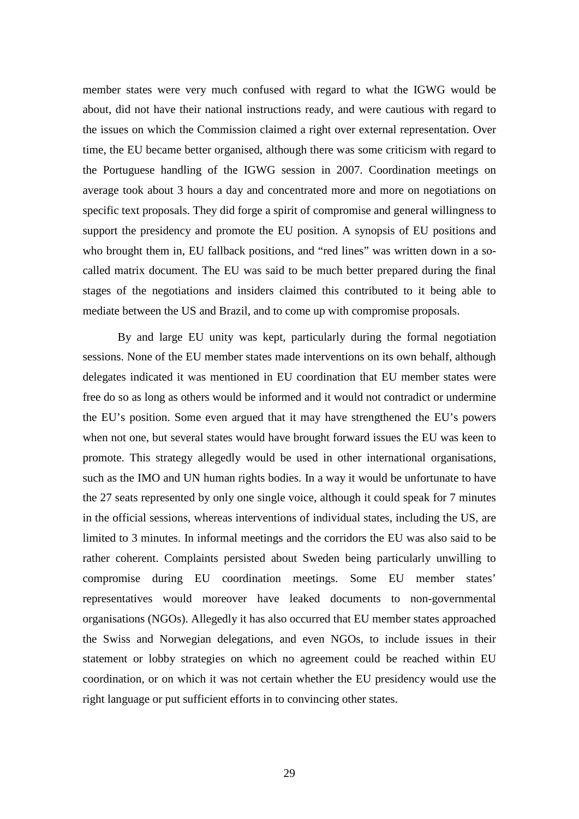member states were very much confused with regard to what the IGWG would be about, did not have their national instructions ready, and were cautious with regard to the issues on which the Commission claimed a right over external representation. Over time, the EU became better organised, although there was some criticism with regard to the Portuguese handling of the IGWG session in 2007. Coordination meetings on average took about 3 hours a day and concentrated more and more on negotiations on specific text proposals. They did forge a spirit of compromise and general willingness to support the presidency and promote the EU position. A synopsis of EU positions and who brought them in, EU fallback positions, and "red lines" was written down in a socalled matrix document. The EU was said to be much better prepared during the final stages of the negotiations and insiders claimed this contributed to it being able to mediate between the US and Brazil, and to come up with compromise proposals.

By and large EU unity was kept, particularly during the formal negotiation sessions. None of the EU member states made interventions on its own behalf, although delegates indicated it was mentioned in EU coordination that EU member states were free do so as long as others would be informed and it would not contradict or undermine the EU's position. Some even argued that it may have strengthened the EU's powers when not one, but several states would have brought forward issues the EU was keen to promote. This strategy allegedly would be used in other international organisations, such as the IMO and UN human rights bodies. In a way it would be unfortunate to have the 27 seats represented by only one single voice, although it could speak for 7 minutes in the official sessions, whereas interventions of individual states, including the US, are limited to 3 minutes. In informal meetings and the corridors the EU was also said to be rather coherent. Complaints persisted about Sweden being particularly unwilling to compromise during EU coordination meetings. Some EU member states' representatives would moreover have leaked documents to non-governmental organisations (NGOs). Allegedly it has also occurred that EU member states approached the Swiss and Norwegian delegations, and even NGOs, to include issues in their statement or lobby strategies on which no agreement could be reached within EU coordination, or on which it was not certain whether the EU presidency would use the right language or put sufficient efforts in to convincing other states.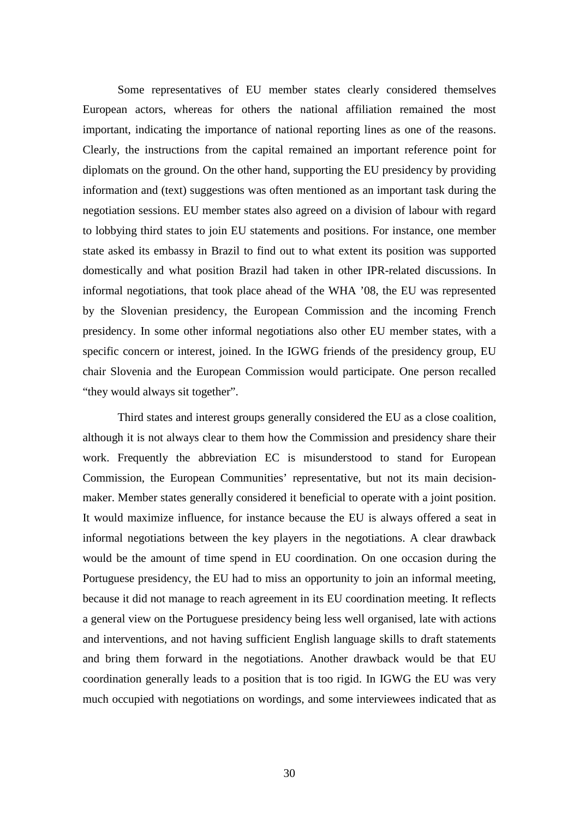Some representatives of EU member states clearly considered themselves European actors, whereas for others the national affiliation remained the most important, indicating the importance of national reporting lines as one of the reasons. Clearly, the instructions from the capital remained an important reference point for diplomats on the ground. On the other hand, supporting the EU presidency by providing information and (text) suggestions was often mentioned as an important task during the negotiation sessions. EU member states also agreed on a division of labour with regard to lobbying third states to join EU statements and positions. For instance, one member state asked its embassy in Brazil to find out to what extent its position was supported domestically and what position Brazil had taken in other IPR-related discussions. In informal negotiations, that took place ahead of the WHA '08, the EU was represented by the Slovenian presidency, the European Commission and the incoming French presidency. In some other informal negotiations also other EU member states, with a specific concern or interest, joined. In the IGWG friends of the presidency group, EU chair Slovenia and the European Commission would participate. One person recalled "they would always sit together".

Third states and interest groups generally considered the EU as a close coalition, although it is not always clear to them how the Commission and presidency share their work. Frequently the abbreviation EC is misunderstood to stand for European Commission, the European Communities' representative, but not its main decisionmaker. Member states generally considered it beneficial to operate with a joint position. It would maximize influence, for instance because the EU is always offered a seat in informal negotiations between the key players in the negotiations. A clear drawback would be the amount of time spend in EU coordination. On one occasion during the Portuguese presidency, the EU had to miss an opportunity to join an informal meeting, because it did not manage to reach agreement in its EU coordination meeting. It reflects a general view on the Portuguese presidency being less well organised, late with actions and interventions, and not having sufficient English language skills to draft statements and bring them forward in the negotiations. Another drawback would be that EU coordination generally leads to a position that is too rigid. In IGWG the EU was very much occupied with negotiations on wordings, and some interviewees indicated that as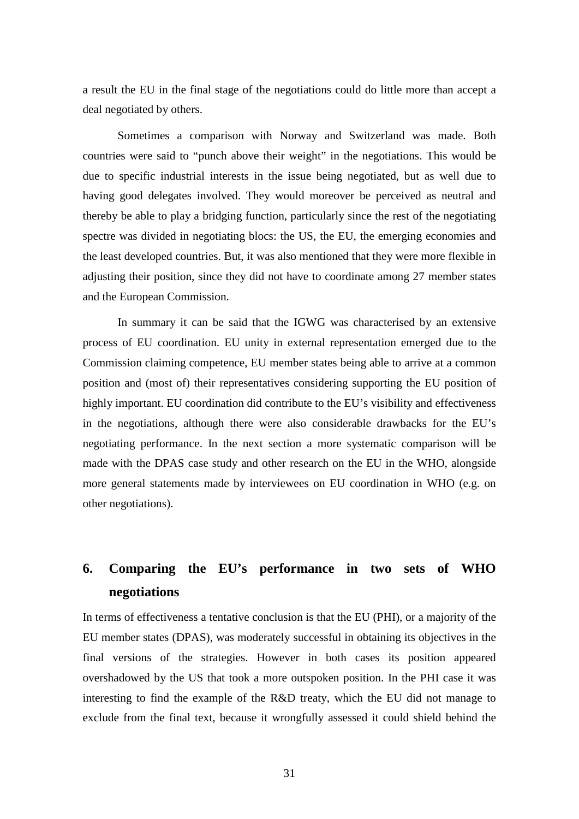a result the EU in the final stage of the negotiations could do little more than accept a deal negotiated by others.

Sometimes a comparison with Norway and Switzerland was made. Both countries were said to "punch above their weight" in the negotiations. This would be due to specific industrial interests in the issue being negotiated, but as well due to having good delegates involved. They would moreover be perceived as neutral and thereby be able to play a bridging function, particularly since the rest of the negotiating spectre was divided in negotiating blocs: the US, the EU, the emerging economies and the least developed countries. But, it was also mentioned that they were more flexible in adjusting their position, since they did not have to coordinate among 27 member states and the European Commission.

In summary it can be said that the IGWG was characterised by an extensive process of EU coordination. EU unity in external representation emerged due to the Commission claiming competence, EU member states being able to arrive at a common position and (most of) their representatives considering supporting the EU position of highly important. EU coordination did contribute to the EU's visibility and effectiveness in the negotiations, although there were also considerable drawbacks for the EU's negotiating performance. In the next section a more systematic comparison will be made with the DPAS case study and other research on the EU in the WHO, alongside more general statements made by interviewees on EU coordination in WHO (e.g. on other negotiations).

# **6. Comparing the EU's performance in two sets of WHO negotiations**

In terms of effectiveness a tentative conclusion is that the EU (PHI), or a majority of the EU member states (DPAS), was moderately successful in obtaining its objectives in the final versions of the strategies. However in both cases its position appeared overshadowed by the US that took a more outspoken position. In the PHI case it was interesting to find the example of the R&D treaty, which the EU did not manage to exclude from the final text, because it wrongfully assessed it could shield behind the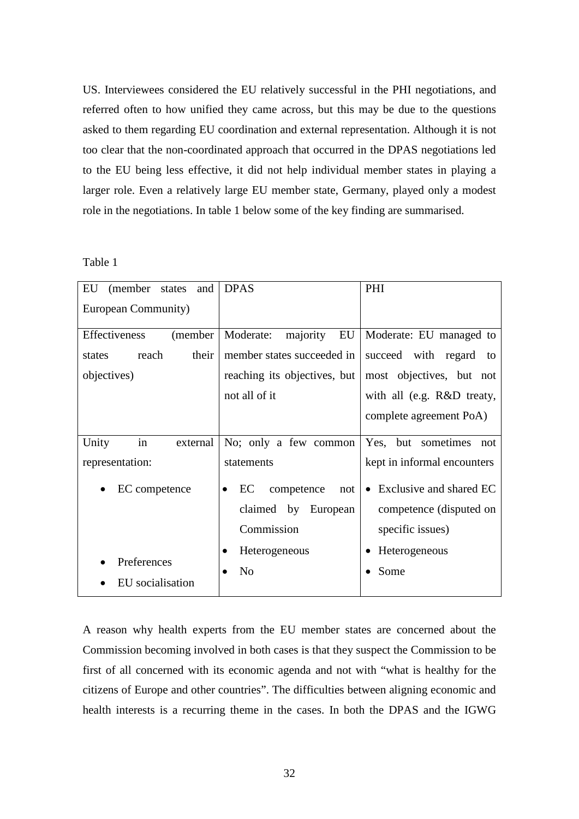US. Interviewees considered the EU relatively successful in the PHI negotiations, and referred often to how unified they came across, but this may be due to the questions asked to them regarding EU coordination and external representation. Although it is not too clear that the non-coordinated approach that occurred in the DPAS negotiations led to the EU being less effective, it did not help individual member states in playing a larger role. Even a relatively large EU member state, Germany, played only a modest role in the negotiations. In table 1 below some of the key finding are summarised.

Table 1

| EU<br>(member<br>and<br>states | <b>DPAS</b>                            | PHI                         |
|--------------------------------|----------------------------------------|-----------------------------|
| European Community)            |                                        |                             |
| Effectiveness<br>(member       | EU<br>Moderate:<br>majority            | Moderate: EU managed to     |
| reach<br>their<br>states       | member states succeeded in             | succeed with regard to      |
| objectives)                    | reaching its objectives, but           | most objectives, but not    |
|                                | not all of it                          | with all (e.g. R&D treaty,  |
|                                |                                        | complete agreement PoA)     |
| in<br>Unity<br>external        | No; only a few common                  | Yes, but sometimes<br>not   |
| representation:                | statements                             | kept in informal encounters |
| EC competence<br>$\bullet$     | EC<br>competence<br>not l<br>$\bullet$ | • Exclusive and shared EC   |
|                                | claimed by European                    | competence (disputed on     |
|                                | Commission                             | specific issues)            |
|                                | Heterogeneous                          | Heterogeneous               |
| Preferences                    | N <sub>0</sub>                         | Some                        |
| EU socialisation               |                                        |                             |

A reason why health experts from the EU member states are concerned about the Commission becoming involved in both cases is that they suspect the Commission to be first of all concerned with its economic agenda and not with "what is healthy for the citizens of Europe and other countries". The difficulties between aligning economic and health interests is a recurring theme in the cases. In both the DPAS and the IGWG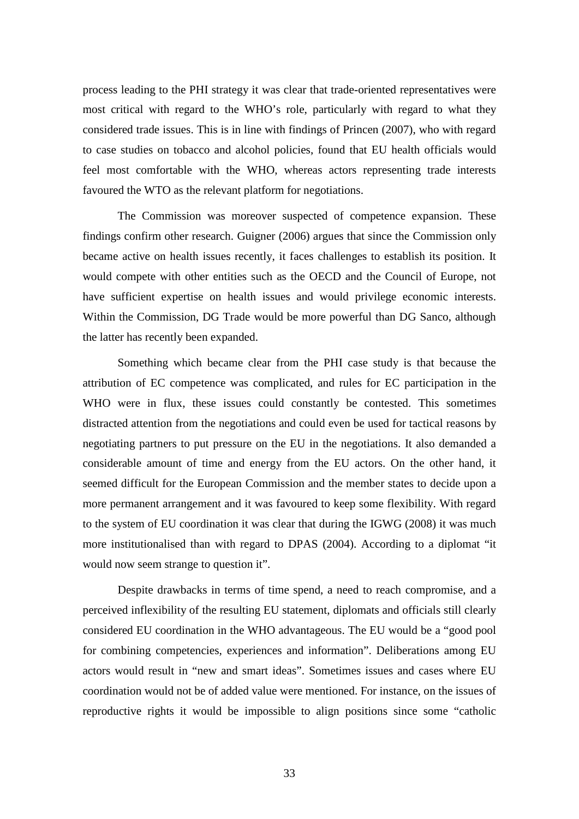process leading to the PHI strategy it was clear that trade-oriented representatives were most critical with regard to the WHO's role, particularly with regard to what they considered trade issues. This is in line with findings of Princen (2007), who with regard to case studies on tobacco and alcohol policies, found that EU health officials would feel most comfortable with the WHO, whereas actors representing trade interests favoured the WTO as the relevant platform for negotiations.

The Commission was moreover suspected of competence expansion. These findings confirm other research. Guigner (2006) argues that since the Commission only became active on health issues recently, it faces challenges to establish its position. It would compete with other entities such as the OECD and the Council of Europe, not have sufficient expertise on health issues and would privilege economic interests. Within the Commission, DG Trade would be more powerful than DG Sanco, although the latter has recently been expanded.

Something which became clear from the PHI case study is that because the attribution of EC competence was complicated, and rules for EC participation in the WHO were in flux, these issues could constantly be contested. This sometimes distracted attention from the negotiations and could even be used for tactical reasons by negotiating partners to put pressure on the EU in the negotiations. It also demanded a considerable amount of time and energy from the EU actors. On the other hand, it seemed difficult for the European Commission and the member states to decide upon a more permanent arrangement and it was favoured to keep some flexibility. With regard to the system of EU coordination it was clear that during the IGWG (2008) it was much more institutionalised than with regard to DPAS (2004). According to a diplomat "it would now seem strange to question it".

Despite drawbacks in terms of time spend, a need to reach compromise, and a perceived inflexibility of the resulting EU statement, diplomats and officials still clearly considered EU coordination in the WHO advantageous. The EU would be a "good pool for combining competencies, experiences and information". Deliberations among EU actors would result in "new and smart ideas". Sometimes issues and cases where EU coordination would not be of added value were mentioned. For instance, on the issues of reproductive rights it would be impossible to align positions since some "catholic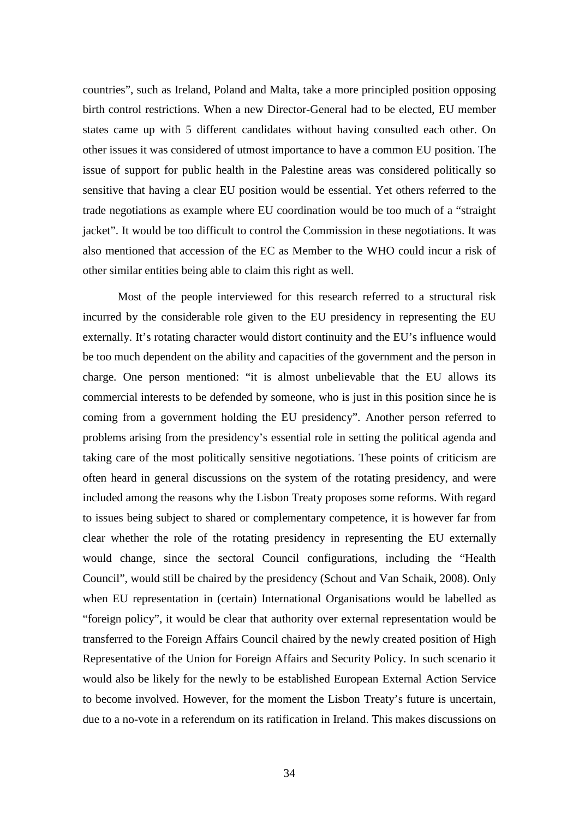countries", such as Ireland, Poland and Malta, take a more principled position opposing birth control restrictions. When a new Director-General had to be elected, EU member states came up with 5 different candidates without having consulted each other. On other issues it was considered of utmost importance to have a common EU position. The issue of support for public health in the Palestine areas was considered politically so sensitive that having a clear EU position would be essential. Yet others referred to the trade negotiations as example where EU coordination would be too much of a "straight jacket". It would be too difficult to control the Commission in these negotiations. It was also mentioned that accession of the EC as Member to the WHO could incur a risk of other similar entities being able to claim this right as well.

Most of the people interviewed for this research referred to a structural risk incurred by the considerable role given to the EU presidency in representing the EU externally. It's rotating character would distort continuity and the EU's influence would be too much dependent on the ability and capacities of the government and the person in charge. One person mentioned: "it is almost unbelievable that the EU allows its commercial interests to be defended by someone, who is just in this position since he is coming from a government holding the EU presidency". Another person referred to problems arising from the presidency's essential role in setting the political agenda and taking care of the most politically sensitive negotiations. These points of criticism are often heard in general discussions on the system of the rotating presidency, and were included among the reasons why the Lisbon Treaty proposes some reforms. With regard to issues being subject to shared or complementary competence, it is however far from clear whether the role of the rotating presidency in representing the EU externally would change, since the sectoral Council configurations, including the "Health Council", would still be chaired by the presidency (Schout and Van Schaik, 2008). Only when EU representation in (certain) International Organisations would be labelled as "foreign policy", it would be clear that authority over external representation would be transferred to the Foreign Affairs Council chaired by the newly created position of High Representative of the Union for Foreign Affairs and Security Policy. In such scenario it would also be likely for the newly to be established European External Action Service to become involved. However, for the moment the Lisbon Treaty's future is uncertain, due to a no-vote in a referendum on its ratification in Ireland. This makes discussions on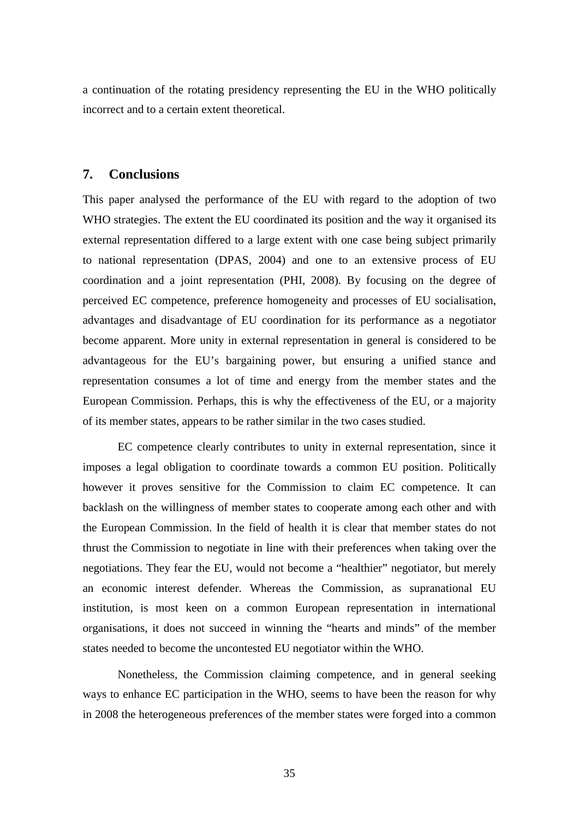a continuation of the rotating presidency representing the EU in the WHO politically incorrect and to a certain extent theoretical.

#### **7. Conclusions**

This paper analysed the performance of the EU with regard to the adoption of two WHO strategies. The extent the EU coordinated its position and the way it organised its external representation differed to a large extent with one case being subject primarily to national representation (DPAS, 2004) and one to an extensive process of EU coordination and a joint representation (PHI, 2008). By focusing on the degree of perceived EC competence, preference homogeneity and processes of EU socialisation, advantages and disadvantage of EU coordination for its performance as a negotiator become apparent. More unity in external representation in general is considered to be advantageous for the EU's bargaining power, but ensuring a unified stance and representation consumes a lot of time and energy from the member states and the European Commission. Perhaps, this is why the effectiveness of the EU, or a majority of its member states, appears to be rather similar in the two cases studied.

EC competence clearly contributes to unity in external representation, since it imposes a legal obligation to coordinate towards a common EU position. Politically however it proves sensitive for the Commission to claim EC competence. It can backlash on the willingness of member states to cooperate among each other and with the European Commission. In the field of health it is clear that member states do not thrust the Commission to negotiate in line with their preferences when taking over the negotiations. They fear the EU, would not become a "healthier" negotiator, but merely an economic interest defender. Whereas the Commission, as supranational EU institution, is most keen on a common European representation in international organisations, it does not succeed in winning the "hearts and minds" of the member states needed to become the uncontested EU negotiator within the WHO.

Nonetheless, the Commission claiming competence, and in general seeking ways to enhance EC participation in the WHO, seems to have been the reason for why in 2008 the heterogeneous preferences of the member states were forged into a common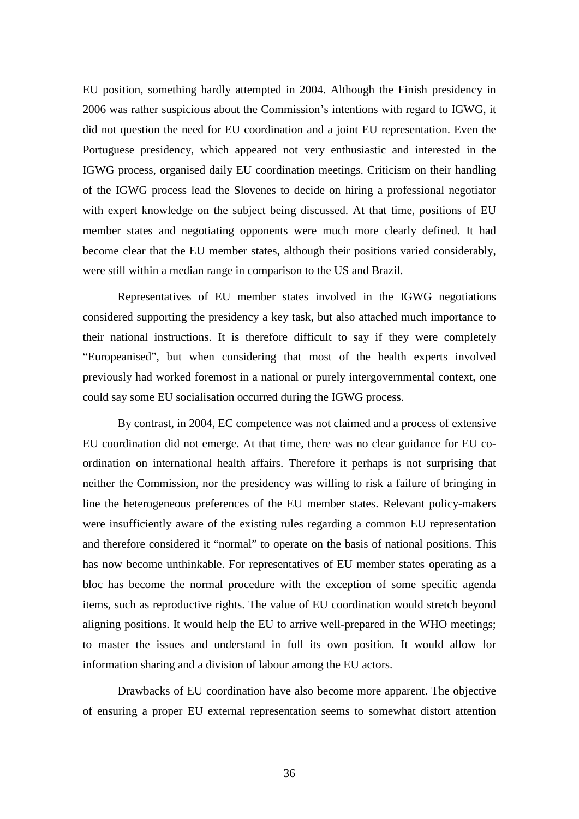EU position, something hardly attempted in 2004. Although the Finish presidency in 2006 was rather suspicious about the Commission's intentions with regard to IGWG, it did not question the need for EU coordination and a joint EU representation. Even the Portuguese presidency, which appeared not very enthusiastic and interested in the IGWG process, organised daily EU coordination meetings. Criticism on their handling of the IGWG process lead the Slovenes to decide on hiring a professional negotiator with expert knowledge on the subject being discussed. At that time, positions of EU member states and negotiating opponents were much more clearly defined. It had become clear that the EU member states, although their positions varied considerably, were still within a median range in comparison to the US and Brazil.

Representatives of EU member states involved in the IGWG negotiations considered supporting the presidency a key task, but also attached much importance to their national instructions. It is therefore difficult to say if they were completely "Europeanised", but when considering that most of the health experts involved previously had worked foremost in a national or purely intergovernmental context, one could say some EU socialisation occurred during the IGWG process.

By contrast, in 2004, EC competence was not claimed and a process of extensive EU coordination did not emerge. At that time, there was no clear guidance for EU coordination on international health affairs. Therefore it perhaps is not surprising that neither the Commission, nor the presidency was willing to risk a failure of bringing in line the heterogeneous preferences of the EU member states. Relevant policy-makers were insufficiently aware of the existing rules regarding a common EU representation and therefore considered it "normal" to operate on the basis of national positions. This has now become unthinkable. For representatives of EU member states operating as a bloc has become the normal procedure with the exception of some specific agenda items, such as reproductive rights. The value of EU coordination would stretch beyond aligning positions. It would help the EU to arrive well-prepared in the WHO meetings; to master the issues and understand in full its own position. It would allow for information sharing and a division of labour among the EU actors.

Drawbacks of EU coordination have also become more apparent. The objective of ensuring a proper EU external representation seems to somewhat distort attention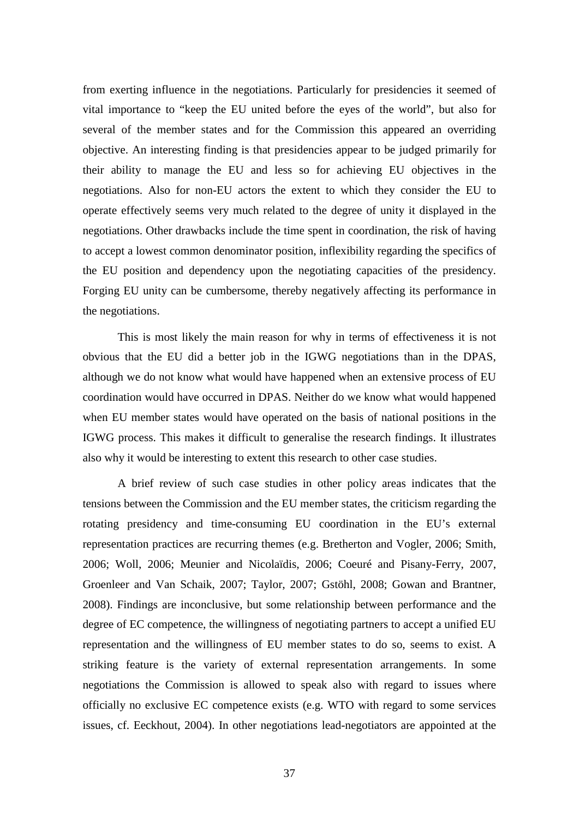from exerting influence in the negotiations. Particularly for presidencies it seemed of vital importance to "keep the EU united before the eyes of the world", but also for several of the member states and for the Commission this appeared an overriding objective. An interesting finding is that presidencies appear to be judged primarily for their ability to manage the EU and less so for achieving EU objectives in the negotiations. Also for non-EU actors the extent to which they consider the EU to operate effectively seems very much related to the degree of unity it displayed in the negotiations. Other drawbacks include the time spent in coordination, the risk of having to accept a lowest common denominator position, inflexibility regarding the specifics of the EU position and dependency upon the negotiating capacities of the presidency. Forging EU unity can be cumbersome, thereby negatively affecting its performance in the negotiations.

This is most likely the main reason for why in terms of effectiveness it is not obvious that the EU did a better job in the IGWG negotiations than in the DPAS, although we do not know what would have happened when an extensive process of EU coordination would have occurred in DPAS. Neither do we know what would happened when EU member states would have operated on the basis of national positions in the IGWG process. This makes it difficult to generalise the research findings. It illustrates also why it would be interesting to extent this research to other case studies.

A brief review of such case studies in other policy areas indicates that the tensions between the Commission and the EU member states, the criticism regarding the rotating presidency and time-consuming EU coordination in the EU's external representation practices are recurring themes (e.g. Bretherton and Vogler, 2006; Smith, 2006; Woll, 2006; Meunier and Nicolaïdis, 2006; Coeuré and Pisany-Ferry, 2007, Groenleer and Van Schaik, 2007; Taylor, 2007; Gstöhl, 2008; Gowan and Brantner, 2008). Findings are inconclusive, but some relationship between performance and the degree of EC competence, the willingness of negotiating partners to accept a unified EU representation and the willingness of EU member states to do so, seems to exist. A striking feature is the variety of external representation arrangements. In some negotiations the Commission is allowed to speak also with regard to issues where officially no exclusive EC competence exists (e.g. WTO with regard to some services issues, cf. Eeckhout, 2004). In other negotiations lead-negotiators are appointed at the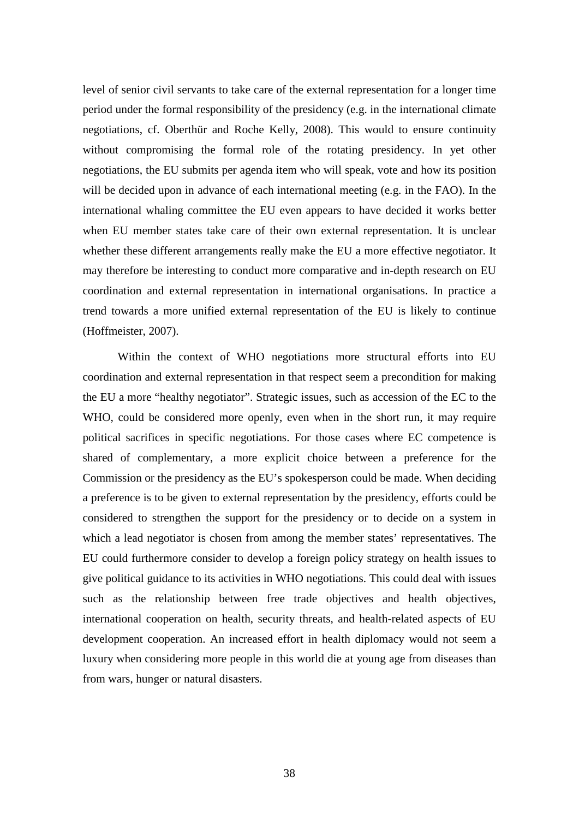level of senior civil servants to take care of the external representation for a longer time period under the formal responsibility of the presidency (e.g. in the international climate negotiations, cf. Oberthür and Roche Kelly, 2008). This would to ensure continuity without compromising the formal role of the rotating presidency. In yet other negotiations, the EU submits per agenda item who will speak, vote and how its position will be decided upon in advance of each international meeting (e.g. in the FAO). In the international whaling committee the EU even appears to have decided it works better when EU member states take care of their own external representation. It is unclear whether these different arrangements really make the EU a more effective negotiator. It may therefore be interesting to conduct more comparative and in-depth research on EU coordination and external representation in international organisations. In practice a trend towards a more unified external representation of the EU is likely to continue (Hoffmeister, 2007).

Within the context of WHO negotiations more structural efforts into EU coordination and external representation in that respect seem a precondition for making the EU a more "healthy negotiator". Strategic issues, such as accession of the EC to the WHO, could be considered more openly, even when in the short run, it may require political sacrifices in specific negotiations. For those cases where EC competence is shared of complementary, a more explicit choice between a preference for the Commission or the presidency as the EU's spokesperson could be made. When deciding a preference is to be given to external representation by the presidency, efforts could be considered to strengthen the support for the presidency or to decide on a system in which a lead negotiator is chosen from among the member states' representatives. The EU could furthermore consider to develop a foreign policy strategy on health issues to give political guidance to its activities in WHO negotiations. This could deal with issues such as the relationship between free trade objectives and health objectives, international cooperation on health, security threats, and health-related aspects of EU development cooperation. An increased effort in health diplomacy would not seem a luxury when considering more people in this world die at young age from diseases than from wars, hunger or natural disasters.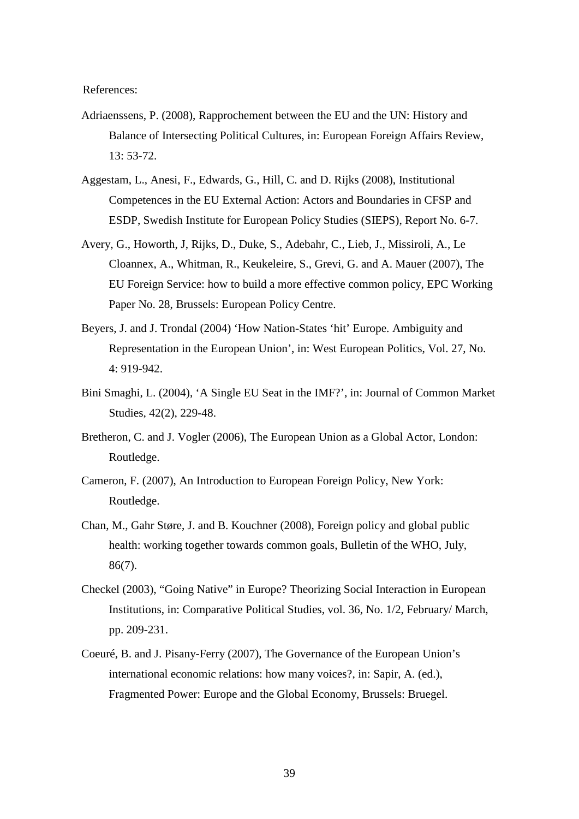References:

- Adriaenssens, P. (2008), Rapprochement between the EU and the UN: History and Balance of Intersecting Political Cultures, in: European Foreign Affairs Review, 13: 53-72.
- Aggestam, L., Anesi, F., Edwards, G., Hill, C. and D. Rijks (2008), Institutional Competences in the EU External Action: Actors and Boundaries in CFSP and ESDP, Swedish Institute for European Policy Studies (SIEPS), Report No. 6-7.
- Avery, G., Howorth, J, Rijks, D., Duke, S., Adebahr, C., Lieb, J., Missiroli, A., Le Cloannex, A., Whitman, R., Keukeleire, S., Grevi, G. and A. Mauer (2007), The EU Foreign Service: how to build a more effective common policy, EPC Working Paper No. 28, Brussels: European Policy Centre.
- Beyers, J. and J. Trondal (2004) 'How Nation-States 'hit' Europe. Ambiguity and Representation in the European Union', in: West European Politics, Vol. 27, No. 4: 919-942.
- Bini Smaghi, L. (2004), 'A Single EU Seat in the IMF?', in: Journal of Common Market Studies, 42(2), 229-48.
- Bretheron, C. and J. Vogler (2006), The European Union as a Global Actor, London: Routledge.
- Cameron, F. (2007), An Introduction to European Foreign Policy, New York: Routledge.
- Chan, M., Gahr Støre, J. and B. Kouchner (2008), Foreign policy and global public health: working together towards common goals, Bulletin of the WHO, July, 86(7).
- Checkel (2003), "Going Native" in Europe? Theorizing Social Interaction in European Institutions, in: Comparative Political Studies, vol. 36, No. 1/2, February/ March, pp. 209-231.
- Coeuré, B. and J. Pisany-Ferry (2007), The Governance of the European Union's international economic relations: how many voices?, in: Sapir, A. (ed.), Fragmented Power: Europe and the Global Economy, Brussels: Bruegel.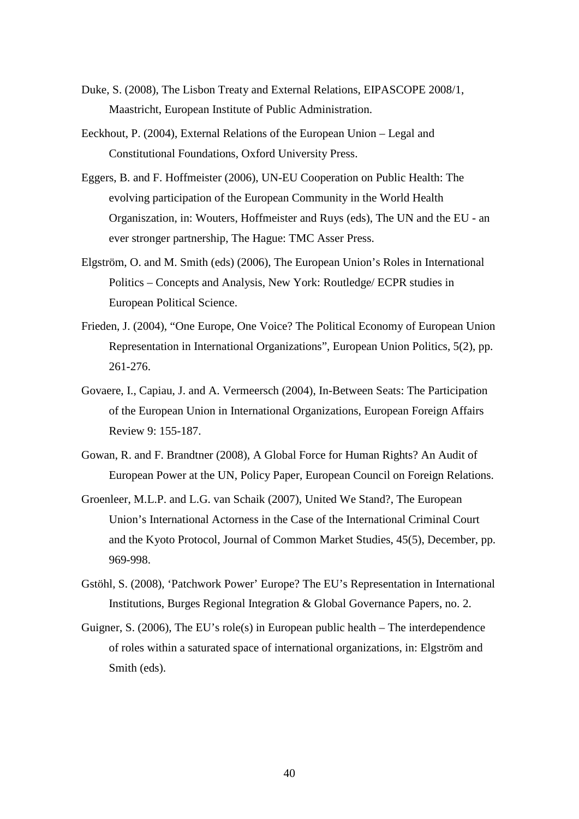- Duke, S. (2008), The Lisbon Treaty and External Relations, EIPASCOPE 2008/1, Maastricht, European Institute of Public Administration.
- Eeckhout, P. (2004), External Relations of the European Union Legal and Constitutional Foundations, Oxford University Press.
- Eggers, B. and F. Hoffmeister (2006), UN-EU Cooperation on Public Health: The evolving participation of the European Community in the World Health Organiszation, in: Wouters, Hoffmeister and Ruys (eds), The UN and the EU - an ever stronger partnership, The Hague: TMC Asser Press.
- Elgström, O. and M. Smith (eds) (2006), The European Union's Roles in International Politics – Concepts and Analysis, New York: Routledge/ ECPR studies in European Political Science.
- Frieden, J. (2004), "One Europe, One Voice? The Political Economy of European Union Representation in International Organizations", European Union Politics, 5(2), pp. 261-276.
- Govaere, I., Capiau, J. and A. Vermeersch (2004), In-Between Seats: The Participation of the European Union in International Organizations, European Foreign Affairs Review 9: 155-187.
- Gowan, R. and F. Brandtner (2008), A Global Force for Human Rights? An Audit of European Power at the UN, Policy Paper, European Council on Foreign Relations.
- Groenleer, M.L.P. and L.G. van Schaik (2007), United We Stand?, The European Union's International Actorness in the Case of the International Criminal Court and the Kyoto Protocol, Journal of Common Market Studies, 45(5), December, pp. 969-998.
- Gstöhl, S. (2008), 'Patchwork Power' Europe? The EU's Representation in International Institutions, Burges Regional Integration & Global Governance Papers, no. 2.
- Guigner, S. (2006), The EU's role(s) in European public health The interdependence of roles within a saturated space of international organizations, in: Elgström and Smith (eds).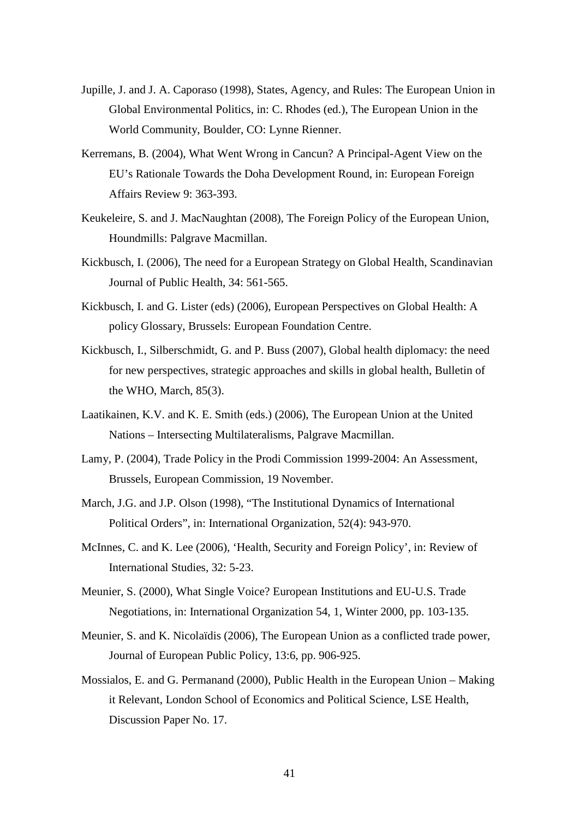- Jupille, J. and J. A. Caporaso (1998), States, Agency, and Rules: The European Union in Global Environmental Politics, in: C. Rhodes (ed.), The European Union in the World Community, Boulder, CO: Lynne Rienner.
- Kerremans, B. (2004), What Went Wrong in Cancun? A Principal-Agent View on the EU's Rationale Towards the Doha Development Round, in: European Foreign Affairs Review 9: 363-393.
- Keukeleire, S. and J. MacNaughtan (2008), The Foreign Policy of the European Union, Houndmills: Palgrave Macmillan.
- Kickbusch, I. (2006), The need for a European Strategy on Global Health, Scandinavian Journal of Public Health, 34: 561-565.
- Kickbusch, I. and G. Lister (eds) (2006), European Perspectives on Global Health: A policy Glossary, Brussels: European Foundation Centre.
- Kickbusch, I., Silberschmidt, G. and P. Buss (2007), Global health diplomacy: the need for new perspectives, strategic approaches and skills in global health, Bulletin of the WHO, March, 85(3).
- Laatikainen, K.V. and K. E. Smith (eds.) (2006), The European Union at the United Nations – Intersecting Multilateralisms, Palgrave Macmillan.
- Lamy, P. (2004), Trade Policy in the Prodi Commission 1999-2004: An Assessment, Brussels, European Commission, 19 November.
- March, J.G. and J.P. Olson (1998), "The Institutional Dynamics of International Political Orders", in: International Organization, 52(4): 943-970.
- McInnes, C. and K. Lee (2006), 'Health, Security and Foreign Policy', in: Review of International Studies, 32: 5-23.
- Meunier, S. (2000), What Single Voice? European Institutions and EU-U.S. Trade Negotiations, in: International Organization 54, 1, Winter 2000, pp. 103-135.
- Meunier, S. and K. Nicolaïdis (2006), The European Union as a conflicted trade power, Journal of European Public Policy, 13:6, pp. 906-925.
- Mossialos, E. and G. Permanand (2000), Public Health in the European Union Making it Relevant, London School of Economics and Political Science, LSE Health, Discussion Paper No. 17.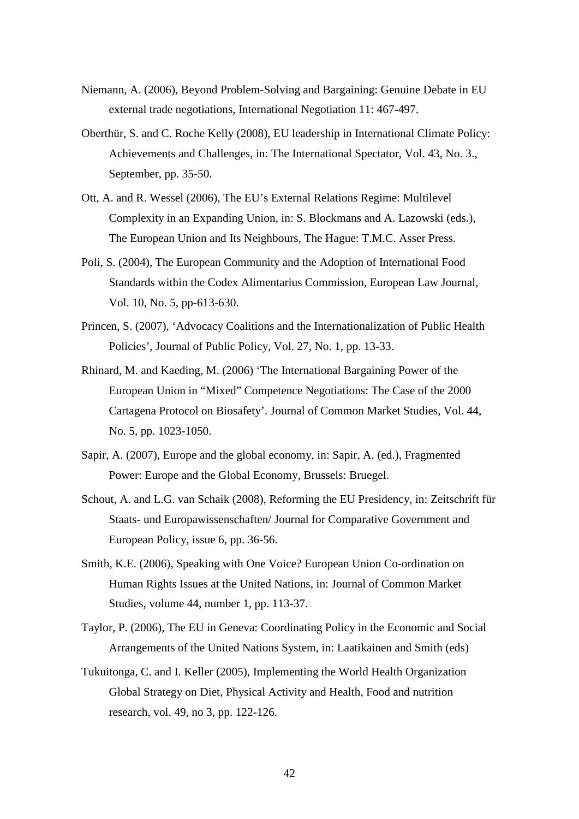- Niemann, A. (2006), Beyond Problem-Solving and Bargaining: Genuine Debate in EU external trade negotiations, International Negotiation 11: 467-497.
- Oberthür, S. and C. Roche Kelly (2008), EU leadership in International Climate Policy: Achievements and Challenges, in: The International Spectator, Vol. 43, No. 3., September, pp. 35-50.
- Ott, A. and R. Wessel (2006), The EU's External Relations Regime: Multilevel Complexity in an Expanding Union, in: S. Blockmans and A. Lazowski (eds.), The European Union and Its Neighbours, The Hague: T.M.C. Asser Press.
- Poli, S. (2004), The European Community and the Adoption of International Food Standards within the Codex Alimentarius Commission, European Law Journal, Vol. 10, No. 5, pp-613-630.
- Princen, S. (2007), 'Advocacy Coalitions and the Internationalization of Public Health Policies', Journal of Public Policy, Vol. 27, No. 1, pp. 13-33.
- Rhinard, M. and Kaeding, M. (2006) 'The International Bargaining Power of the European Union in "Mixed" Competence Negotiations: The Case of the 2000 Cartagena Protocol on Biosafety'. Journal of Common Market Studies, Vol. 44, No. 5, pp. 1023-1050.
- Sapir, A. (2007), Europe and the global economy, in: Sapir, A. (ed.), Fragmented Power: Europe and the Global Economy, Brussels: Bruegel.
- Schout, A. and L.G. van Schaik (2008), Reforming the EU Presidency, in: Zeitschrift für Staats- und Europawissenschaften/ Journal for Comparative Government and European Policy, issue 6, pp. 36-56.
- Smith, K.E. (2006), Speaking with One Voice? European Union Co-ordination on Human Rights Issues at the United Nations, in: Journal of Common Market Studies, volume 44, number 1, pp. 113-37.
- Taylor, P. (2006), The EU in Geneva: Coordinating Policy in the Economic and Social Arrangements of the United Nations System, in: Laatikainen and Smith (eds)
- Tukuitonga, C. and I. Keller (2005), Implementing the World Health Organization Global Strategy on Diet, Physical Activity and Health, Food and nutrition research, vol. 49, no 3, pp. 122-126.